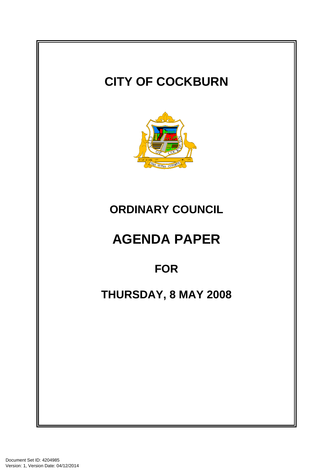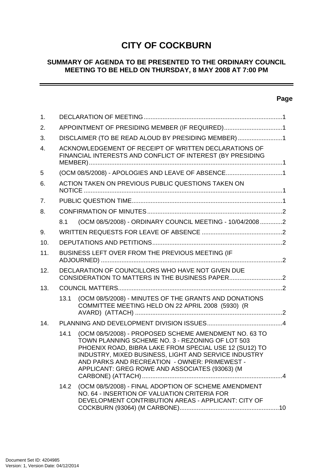# **CITY OF COCKBURN**

### **SUMMARY OF AGENDA TO BE PRESENTED TO THE ORDINARY COUNCIL MEETING TO BE HELD ON THURSDAY, 8 MAY 2008 AT 7:00 PM**

# **Page**

 $\sim$   $\sim$ 

| 1.               |                                                                                                                     |                                                                                                                                                                                                                                                                                                                                |  |  |  |  |
|------------------|---------------------------------------------------------------------------------------------------------------------|--------------------------------------------------------------------------------------------------------------------------------------------------------------------------------------------------------------------------------------------------------------------------------------------------------------------------------|--|--|--|--|
| 2.               |                                                                                                                     | APPOINTMENT OF PRESIDING MEMBER (IF REQUIRED)1                                                                                                                                                                                                                                                                                 |  |  |  |  |
| 3.               | DISCLAIMER (TO BE READ ALOUD BY PRESIDING MEMBER) 1                                                                 |                                                                                                                                                                                                                                                                                                                                |  |  |  |  |
| $\overline{4}$ . | ACKNOWLEDGEMENT OF RECEIPT OF WRITTEN DECLARATIONS OF<br>FINANCIAL INTERESTS AND CONFLICT OF INTEREST (BY PRESIDING |                                                                                                                                                                                                                                                                                                                                |  |  |  |  |
| 5                | (OCM 08/5/2008) - APOLOGIES AND LEAVE OF ABSENCE1                                                                   |                                                                                                                                                                                                                                                                                                                                |  |  |  |  |
| 6.               |                                                                                                                     | ACTION TAKEN ON PREVIOUS PUBLIC QUESTIONS TAKEN ON                                                                                                                                                                                                                                                                             |  |  |  |  |
| 7.               |                                                                                                                     |                                                                                                                                                                                                                                                                                                                                |  |  |  |  |
| 8.               |                                                                                                                     |                                                                                                                                                                                                                                                                                                                                |  |  |  |  |
|                  | 8.1                                                                                                                 | (OCM 08/5/2008) - ORDINARY COUNCIL MEETING - 10/04/20082                                                                                                                                                                                                                                                                       |  |  |  |  |
| 9.               |                                                                                                                     |                                                                                                                                                                                                                                                                                                                                |  |  |  |  |
| 10.              |                                                                                                                     |                                                                                                                                                                                                                                                                                                                                |  |  |  |  |
| 11.              | BUSINESS LEFT OVER FROM THE PREVIOUS MEETING (IF                                                                    |                                                                                                                                                                                                                                                                                                                                |  |  |  |  |
| 12.              |                                                                                                                     | DECLARATION OF COUNCILLORS WHO HAVE NOT GIVEN DUE<br>CONSIDERATION TO MATTERS IN THE BUSINESS PAPER2                                                                                                                                                                                                                           |  |  |  |  |
| 13.              |                                                                                                                     |                                                                                                                                                                                                                                                                                                                                |  |  |  |  |
|                  | 13.1                                                                                                                | (OCM 08/5/2008) - MINUTES OF THE GRANTS AND DONATIONS<br>COMMITTEE MEETING HELD ON 22 APRIL 2008 (5930) (R                                                                                                                                                                                                                     |  |  |  |  |
| 14.              |                                                                                                                     |                                                                                                                                                                                                                                                                                                                                |  |  |  |  |
|                  | 14.1                                                                                                                | (OCM 08/5/2008) - PROPOSED SCHEME AMENDMENT NO. 63 TO<br>TOWN PLANNING SCHEME NO. 3 - REZONING OF LOT 503<br>PHOENIX ROAD, BIBRA LAKE FROM SPECIAL USE 12 (SU12) TO<br>INDUSTRY, MIXED BUSINESS, LIGHT AND SERVICE INDUSTRY<br>AND PARKS AND RECREATION - OWNER: PRIMEWEST -<br>APPLICANT: GREG ROWE AND ASSOCIATES (93063) (M |  |  |  |  |
|                  | 14.2                                                                                                                | (OCM 08/5/2008) - FINAL ADOPTION OF SCHEME AMENDMENT<br>NO. 64 - INSERTION OF VALUATION CRITERIA FOR<br>DEVELOPMENT CONTRIBUTION AREAS - APPLICANT: CITY OF                                                                                                                                                                    |  |  |  |  |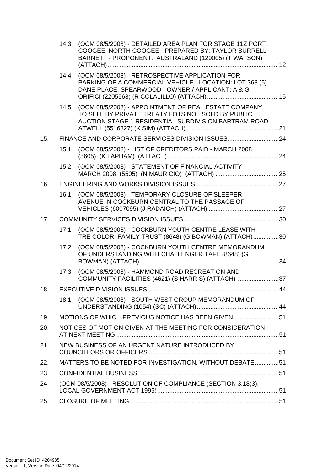|     | 14.3                                                         | (OCM 08/5/2008) - DETAILED AREA PLAN FOR STAGE 11Z PORT<br>COOGEE, NORTH COOGEE - PREPARED BY: TAYLOR BURRELL<br>BARNETT - PROPONENT: AUSTRALAND (129005) (T WATSON) |    |  |  |
|-----|--------------------------------------------------------------|----------------------------------------------------------------------------------------------------------------------------------------------------------------------|----|--|--|
|     | 14.4                                                         | (OCM 08/5/2008) - RETROSPECTIVE APPLICATION FOR<br>PARKING OF A COMMERCIAL VEHICLE - LOCATION: LOT 368 (5)<br>DANE PLACE, SPEARWOOD - OWNER / APPLICANT: A & G       |    |  |  |
|     | 14.5                                                         | (OCM 08/5/2008) - APPOINTMENT OF REAL ESTATE COMPANY<br>TO SELL BY PRIVATE TREATY LOTS NOT SOLD BY PUBLIC<br>AUCTION STAGE 1 RESIDENTIAL SUBDIVISION BARTRAM ROAD    |    |  |  |
| 15. |                                                              | FINANCE AND CORPORATE SERVICES DIVISION ISSUES24                                                                                                                     |    |  |  |
|     | 15.1                                                         | (OCM 08/5/2008) - LIST OF CREDITORS PAID - MARCH 2008                                                                                                                |    |  |  |
|     | 15.2                                                         | (OCM 08/5/2008) - STATEMENT OF FINANCIAL ACTIVITY -                                                                                                                  |    |  |  |
| 16. |                                                              |                                                                                                                                                                      |    |  |  |
|     | 16.1                                                         | (OCM 08/5/2008) - TEMPORARY CLOSURE OF SLEEPER<br>AVENUE IN COCKBURN CENTRAL TO THE PASSAGE OF                                                                       |    |  |  |
| 17. |                                                              |                                                                                                                                                                      |    |  |  |
|     | 17.1                                                         | (OCM 08/5/2008) - COCKBURN YOUTH CENTRE LEASE WITH<br>TRE COLORI FAMILY TRUST (8648) (G BOWMAN) (ATTACH)30                                                           |    |  |  |
|     | 17.2                                                         | (OCM 08/5/2008) - COCKBURN YOUTH CENTRE MEMORANDUM<br>OF UNDERSTANDING WITH CHALLENGER TAFE (8648) (G                                                                |    |  |  |
|     | 17.3                                                         | (OCM 08/5/2008) - HAMMOND ROAD RECREATION AND<br>COMMUNITY FACILITIES (4621) (S HARRIS) (ATTACH)37                                                                   |    |  |  |
| 18. |                                                              | <b>EXECUTIVE DIVISION ISSUES</b>                                                                                                                                     | 44 |  |  |
|     | 18.1                                                         | (OCM 08/5/2008) - SOUTH WEST GROUP MEMORANDUM OF                                                                                                                     |    |  |  |
| 19. |                                                              | MOTIONS OF WHICH PREVIOUS NOTICE HAS BEEN GIVEN 51                                                                                                                   |    |  |  |
| 20. |                                                              | NOTICES OF MOTION GIVEN AT THE MEETING FOR CONSIDERATION                                                                                                             |    |  |  |
| 21. |                                                              | NEW BUSINESS OF AN URGENT NATURE INTRODUCED BY                                                                                                                       |    |  |  |
| 22. |                                                              | MATTERS TO BE NOTED FOR INVESTIGATION, WITHOUT DEBATE51                                                                                                              |    |  |  |
| 23. |                                                              |                                                                                                                                                                      |    |  |  |
| 24  | (OCM 08/5/2008) - RESOLUTION OF COMPLIANCE (SECTION 3.18(3), |                                                                                                                                                                      |    |  |  |
| 25. |                                                              |                                                                                                                                                                      |    |  |  |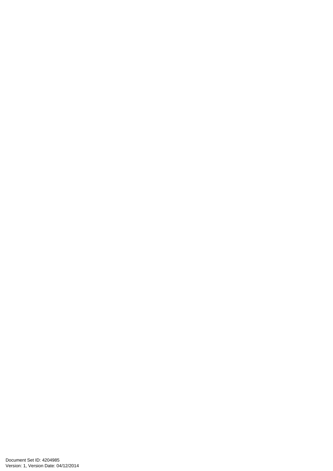Document Set ID: 4204985<br>Version: 1, Version Date: 04/12/2014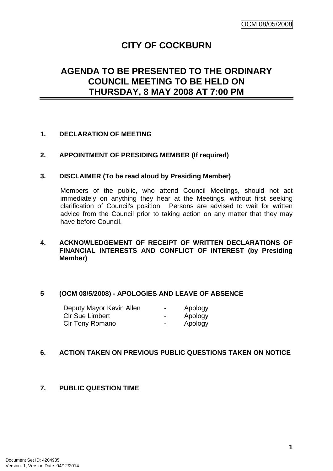# **CITY OF COCKBURN**

# <span id="page-4-0"></span>**AGENDA TO BE PRESENTED TO THE ORDINARY COUNCIL MEETING TO BE HELD ON THURSDAY, 8 MAY 2008 AT 7:00 PM**

### **1. DECLARATION OF MEETING**

### **2. APPOINTMENT OF PRESIDING MEMBER (If required)**

### **3. DISCLAIMER (To be read aloud by Presiding Member)**

Members of the public, who attend Council Meetings, should not act immediately on anything they hear at the Meetings, without first seeking clarification of Council's position. Persons are advised to wait for written advice from the Council prior to taking action on any matter that they may have before Council.

### **4. ACKNOWLEDGEMENT OF RECEIPT OF WRITTEN DECLARATIONS OF FINANCIAL INTERESTS AND CONFLICT OF INTEREST (by Presiding Member)**

### **5 (OCM 08/5/2008) - APOLOGIES AND LEAVE OF ABSENCE**

| Deputy Mayor Kevin Allen |                          | Apology |
|--------------------------|--------------------------|---------|
| Clr Sue Limbert          | $\overline{\phantom{0}}$ | Apology |
| Clr Tony Romano          | $\overline{\phantom{0}}$ | Apology |

### **6. ACTION TAKEN ON PREVIOUS PUBLIC QUESTIONS TAKEN ON NOTICE**

### **7. PUBLIC QUESTION TIME**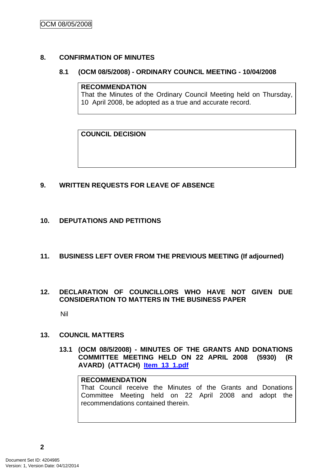### <span id="page-5-0"></span>**8. CONFIRMATION OF MINUTES**

### **8.1 (OCM 08/5/2008) - ORDINARY COUNCIL MEETING - 10/04/2008**

### **RECOMMENDATION**

That the Minutes of the Ordinary Council Meeting held on Thursday, 10 April 2008, be adopted as a true and accurate record.

### **COUNCIL DECISION**

## **9. WRITTEN REQUESTS FOR LEAVE OF ABSENCE**

### **10. DEPUTATIONS AND PETITIONS**

**11. BUSINESS LEFT OVER FROM THE PREVIOUS MEETING (If adjourned)** 

# **12. DECLARATION OF COUNCILLORS WHO HAVE NOT GIVEN DUE CONSIDERATION TO MATTERS IN THE BUSINESS PAPER**

Nil

### **13. COUNCIL MATTERS**

**13.1 (OCM 08/5/2008) - MINUTES OF THE GRANTS AND DONATIONS COMMITTEE MEETING HELD ON 22 APRIL 2008 (5930) (R AVARD) (ATTACH) Item\_13\_1.pdf**

### **RECOMMENDATION**

That Council receive the Minutes of the Grants and Donations Committee Meeting held on 22 April 2008 and adopt the recommendations contained therein.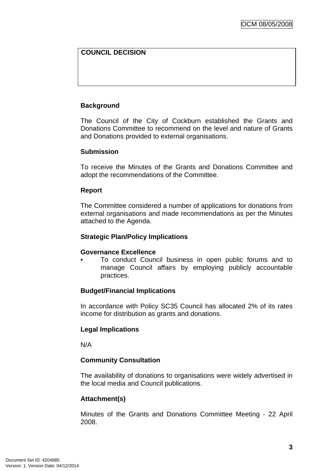## **COUNCIL DECISION**

### **Background**

The Council of the City of Cockburn established the Grants and Donations Committee to recommend on the level and nature of Grants and Donations provided to external organisations.

### **Submission**

To receive the Minutes of the Grants and Donations Committee and adopt the recommendations of the Committee.

#### **Report**

The Committee considered a number of applications for donations from external organisations and made recommendations as per the Minutes attached to the Agenda.

#### **Strategic Plan/Policy Implications**

### **Governance Excellence**

• To conduct Council business in open public forums and to manage Council affairs by employing publicly accountable practices.

### **Budget/Financial Implications**

In accordance with Policy SC35 Council has allocated 2% of its rates income for distribution as grants and donations.

### **Legal Implications**

N/A

### **Community Consultation**

The availability of donations to organisations were widely advertised in the local media and Council publications.

### **Attachment(s)**

Minutes of the Grants and Donations Committee Meeting - 22 April 2008.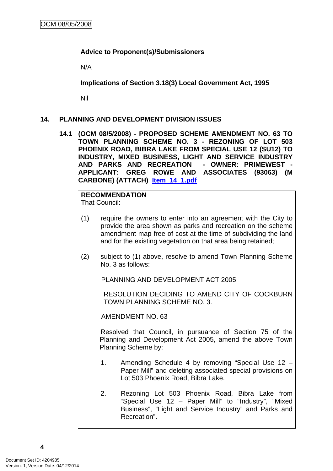### <span id="page-7-0"></span>**Advice to Proponent(s)/Submissioners**

N/A

**Implications of Section 3.18(3) Local Government Act, 1995**

Nil

### **14. PLANNING AND DEVELOPMENT DIVISION ISSUES**

**14.1 (OCM 08/5/2008) - PROPOSED SCHEME AMENDMENT NO. 63 TO TOWN PLANNING SCHEME NO. 3 - REZONING OF LOT 503 PHOENIX ROAD, BIBRA LAKE FROM SPECIAL USE 12 (SU12) TO INDUSTRY, MIXED BUSINESS, LIGHT AND SERVICE INDUSTRY AND PARKS AND RECREATION - OWNER: PRIMEWEST - APPLICANT: GREG ROWE AND ASSOCIATES (93063) (M CARBONE) (ATTACH) Item\_14\_1.pdf**

# **RECOMMENDATION**

That Council:

- (1) require the owners to enter into an agreement with the City to provide the area shown as parks and recreation on the scheme amendment map free of cost at the time of subdividing the land and for the existing vegetation on that area being retained;
- (2) subject to (1) above, resolve to amend Town Planning Scheme No. 3 as follows:

PLANNING AND DEVELOPMENT ACT 2005

RESOLUTION DECIDING TO AMEND CITY OF COCKBURN TOWN PLANNING SCHEME NO. 3.

AMENDMENT NO. 63

Resolved that Council, in pursuance of Section 75 of the Planning and Development Act 2005, amend the above Town Planning Scheme by:

- 1. Amending Schedule 4 by removing "Special Use 12 Paper Mill" and deleting associated special provisions on Lot 503 Phoenix Road, Bibra Lake.
- 2. Rezoning Lot 503 Phoenix Road, Bibra Lake from "Special Use 12 – Paper Mill" to "Industry", "Mixed Business", "Light and Service Industry" and Parks and Recreation".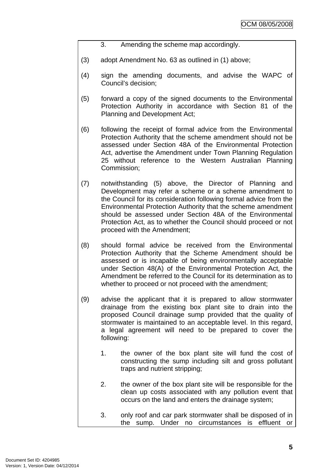- 3. Amending the scheme map accordingly.
- (3) adopt Amendment No. 63 as outlined in (1) above;
- (4) sign the amending documents, and advise the WAPC of Council's decision;
- (5) forward a copy of the signed documents to the Environmental Protection Authority in accordance with Section 81 of the Planning and Development Act;
- (6) following the receipt of formal advice from the Environmental Protection Authority that the scheme amendment should not be assessed under Section 48A of the Environmental Protection Act, advertise the Amendment under Town Planning Regulation 25 without reference to the Western Australian Planning Commission;
- (7) notwithstanding (5) above, the Director of Planning and Development may refer a scheme or a scheme amendment to the Council for its consideration following formal advice from the Environmental Protection Authority that the scheme amendment should be assessed under Section 48A of the Environmental Protection Act, as to whether the Council should proceed or not proceed with the Amendment;
- (8) should formal advice be received from the Environmental Protection Authority that the Scheme Amendment should be assessed or is incapable of being environmentally acceptable under Section 48(A) of the Environmental Protection Act, the Amendment be referred to the Council for its determination as to whether to proceed or not proceed with the amendment;
- (9) advise the applicant that it is prepared to allow stormwater drainage from the existing box plant site to drain into the proposed Council drainage sump provided that the quality of stormwater is maintained to an acceptable level. In this regard, a legal agreement will need to be prepared to cover the following:
	- 1. the owner of the box plant site will fund the cost of constructing the sump including silt and gross pollutant traps and nutrient stripping;
	- 2. the owner of the box plant site will be responsible for the clean up costs associated with any pollution event that occurs on the land and enters the drainage system;
	- 3. only roof and car park stormwater shall be disposed of in the sump. Under no circumstances is effluent or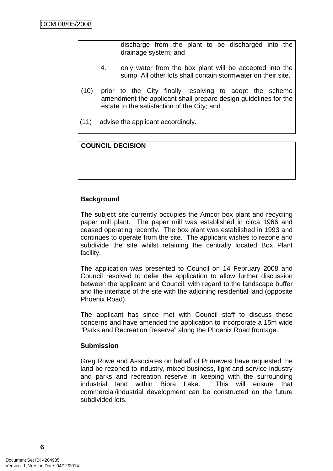discharge from the plant to be discharged into the drainage system; and

- 4. only water from the box plant will be accepted into the sump. All other lots shall contain stormwater on their site.
- (10) prior to the City finally resolving to adopt the scheme amendment the applicant shall prepare design guidelines for the estate to the satisfaction of the City; and
- (11) advise the applicant accordingly.

## **COUNCIL DECISION**

### **Background**

The subject site currently occupies the Amcor box plant and recycling paper mill plant. The paper mill was established in circa 1966 and ceased operating recently. The box plant was established in 1993 and continues to operate from the site. The applicant wishes to rezone and subdivide the site whilst retaining the centrally located Box Plant facility.

The application was presented to Council on 14 February 2008 and Council resolved to defer the application to allow further discussion between the applicant and Council, with regard to the landscape buffer and the interface of the site with the adjoining residential land (opposite Phoenix Road).

The applicant has since met with Council staff to discuss these concerns and have amended the application to incorporate a 15m wide "Parks and Recreation Reserve" along the Phoenix Road frontage.

### **Submission**

Greg Rowe and Associates on behalf of Primewest have requested the land be rezoned to industry, mixed business, light and service industry and parks and recreation reserve in keeping with the surrounding industrial land within Bibra Lake. This will ensure that commercial/industrial development can be constructed on the future subdivided lots.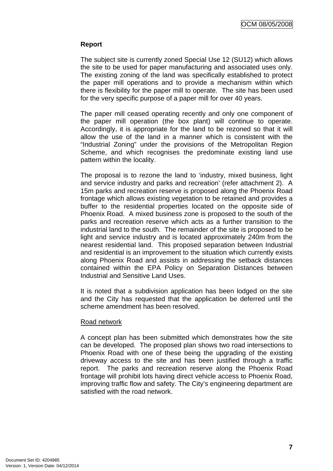### **Report**

The subject site is currently zoned Special Use 12 (SU12) which allows the site to be used for paper manufacturing and associated uses only. The existing zoning of the land was specifically established to protect the paper mill operations and to provide a mechanism within which there is flexibility for the paper mill to operate. The site has been used for the very specific purpose of a paper mill for over 40 years.

The paper mill ceased operating recently and only one component of the paper mill operation (the box plant) will continue to operate. Accordingly, it is appropriate for the land to be rezoned so that it will allow the use of the land in a manner which is consistent with the "Industrial Zoning" under the provisions of the Metropolitan Region Scheme, and which recognises the predominate existing land use pattern within the locality.

The proposal is to rezone the land to 'industry, mixed business, light and service industry and parks and recreation' (refer attachment 2). A 15m parks and recreation reserve is proposed along the Phoenix Road frontage which allows existing vegetation to be retained and provides a buffer to the residential properties located on the opposite side of Phoenix Road. A mixed business zone is proposed to the south of the parks and recreation reserve which acts as a further transition to the industrial land to the south. The remainder of the site is proposed to be light and service industry and is located approximately 240m from the nearest residential land. This proposed separation between Industrial and residential is an improvement to the situation which currently exists along Phoenix Road and assists in addressing the setback distances contained within the EPA Policy on Separation Distances between Industrial and Sensitive Land Uses.

It is noted that a subdivision application has been lodged on the site and the City has requested that the application be deferred until the scheme amendment has been resolved.

### Road network

A concept plan has been submitted which demonstrates how the site can be developed. The proposed plan shows two road intersections to Phoenix Road with one of these being the upgrading of the existing driveway access to the site and has been justified through a traffic report. The parks and recreation reserve along the Phoenix Road frontage will prohibit lots having direct vehicle access to Phoenix Road, improving traffic flow and safety. The City's engineering department are satisfied with the road network.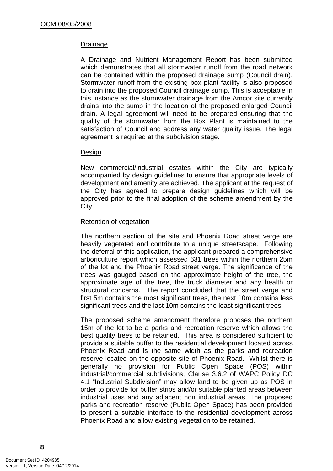### Drainage

A Drainage and Nutrient Management Report has been submitted which demonstrates that all stormwater runoff from the road network can be contained within the proposed drainage sump (Council drain). Stormwater runoff from the existing box plant facility is also proposed to drain into the proposed Council drainage sump. This is acceptable in this instance as the stormwater drainage from the Amcor site currently drains into the sump in the location of the proposed enlarged Council drain. A legal agreement will need to be prepared ensuring that the quality of the stormwater from the Box Plant is maintained to the satisfaction of Council and address any water quality issue. The legal agreement is required at the subdivision stage.

#### Design

New commercial/industrial estates within the City are typically accompanied by design guidelines to ensure that appropriate levels of development and amenity are achieved. The applicant at the request of the City has agreed to prepare design guidelines which will be approved prior to the final adoption of the scheme amendment by the City.

### Retention of vegetation

The northern section of the site and Phoenix Road street verge are heavily vegetated and contribute to a unique streetscape. Following the deferral of this application, the applicant prepared a comprehensive arboriculture report which assessed 631 trees within the northern 25m of the lot and the Phoenix Road street verge. The significance of the trees was gauged based on the approximate height of the tree, the approximate age of the tree, the truck diameter and any health or structural concerns. The report concluded that the street verge and first 5m contains the most significant trees, the next 10m contains less significant trees and the last 10m contains the least significant trees.

The proposed scheme amendment therefore proposes the northern 15m of the lot to be a parks and recreation reserve which allows the best quality trees to be retained. This area is considered sufficient to provide a suitable buffer to the residential development located across Phoenix Road and is the same width as the parks and recreation reserve located on the opposite site of Phoenix Road. Whilst there is generally no provision for Public Open Space (POS) within industrial/commercial subdivisions, Clause 3.6.2 of WAPC Policy DC 4.1 "Industrial Subdivision" may allow land to be given up as POS in order to provide for buffer strips and/or suitable planted areas between industrial uses and any adjacent non industrial areas. The proposed parks and recreation reserve (Public Open Space) has been provided to present a suitable interface to the residential development across Phoenix Road and allow existing vegetation to be retained.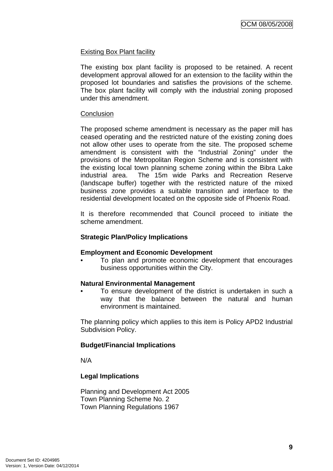### Existing Box Plant facility

The existing box plant facility is proposed to be retained. A recent development approval allowed for an extension to the facility within the proposed lot boundaries and satisfies the provisions of the scheme. The box plant facility will comply with the industrial zoning proposed under this amendment.

#### **Conclusion**

The proposed scheme amendment is necessary as the paper mill has ceased operating and the restricted nature of the existing zoning does not allow other uses to operate from the site. The proposed scheme amendment is consistent with the "Industrial Zoning" under the provisions of the Metropolitan Region Scheme and is consistent with the existing local town planning scheme zoning within the Bibra Lake industrial area. The 15m wide Parks and Recreation Reserve (landscape buffer) together with the restricted nature of the mixed business zone provides a suitable transition and interface to the residential development located on the opposite side of Phoenix Road.

It is therefore recommended that Council proceed to initiate the scheme amendment.

### **Strategic Plan/Policy Implications**

### **Employment and Economic Development**

• To plan and promote economic development that encourages business opportunities within the City.

### **Natural Environmental Management**

To ensure development of the district is undertaken in such a way that the balance between the natural and human environment is maintained.

The planning policy which applies to this item is Policy APD2 Industrial Subdivision Policy.

### **Budget/Financial Implications**

N/A

### **Legal Implications**

Planning and Development Act 2005 Town Planning Scheme No. 2 Town Planning Regulations 1967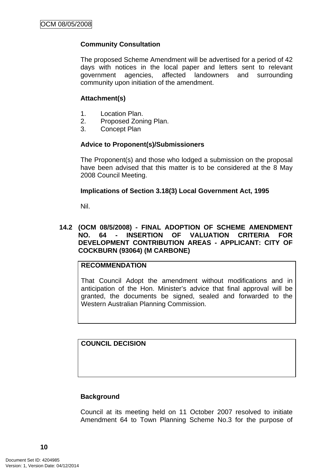### <span id="page-13-0"></span>**Community Consultation**

The proposed Scheme Amendment will be advertised for a period of 42 days with notices in the local paper and letters sent to relevant government agencies, affected landowners and surrounding community upon initiation of the amendment.

### **Attachment(s)**

- 1. Location Plan.
- 2. Proposed Zoning Plan.
- 3. Concept Plan

#### **Advice to Proponent(s)/Submissioners**

The Proponent(s) and those who lodged a submission on the proposal have been advised that this matter is to be considered at the 8 May 2008 Council Meeting.

#### **Implications of Section 3.18(3) Local Government Act, 1995**

Nil.

#### **14.2 (OCM 08/5/2008) - FINAL ADOPTION OF SCHEME AMENDMENT NO. 64 - INSERTION OF VALUATION CRITERIA FOR DEVELOPMENT CONTRIBUTION AREAS - APPLICANT: CITY OF COCKBURN (93064) (M CARBONE)**

### **RECOMMENDATION**

That Council Adopt the amendment without modifications and in anticipation of the Hon. Minister's advice that final approval will be granted, the documents be signed, sealed and forwarded to the Western Australian Planning Commission.

**COUNCIL DECISION**

### **Background**

Council at its meeting held on 11 October 2007 resolved to initiate Amendment 64 to Town Planning Scheme No.3 for the purpose of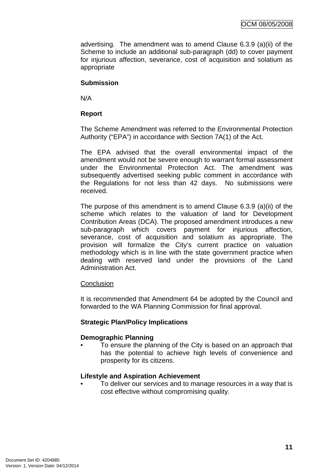advertising. The amendment was to amend Clause 6.3.9 (a)(ii) of the Scheme to include an additional sub-paragraph (dd) to cover payment for injurious affection, severance, cost of acquisition and solatium as appropriate

### **Submission**

N/A

### **Report**

The Scheme Amendment was referred to the Environmental Protection Authority ("EPA") in accordance with Section 7A(1) of the Act.

The EPA advised that the overall environmental impact of the amendment would not be severe enough to warrant formal assessment under the Environmental Protection Act. The amendment was subsequently advertised seeking public comment in accordance with the Regulations for not less than 42 days. No submissions were received.

The purpose of this amendment is to amend Clause 6.3.9 (a)(ii) of the scheme which relates to the valuation of land for Development Contribution Areas (DCA). The proposed amendment introduces a new sub-paragraph which covers payment for injurious affection, severance, cost of acquisition and solatium as appropriate. The provision will formalize the City's current practice on valuation methodology which is in line with the state government practice when dealing with reserved land under the provisions of the Land Administration Act.

### **Conclusion**

It is recommended that Amendment 64 be adopted by the Council and forwarded to the WA Planning Commission for final approval.

### **Strategic Plan/Policy Implications**

### **Demographic Planning**

• To ensure the planning of the City is based on an approach that has the potential to achieve high levels of convenience and prosperity for its citizens.

### **Lifestyle and Aspiration Achievement**

• To deliver our services and to manage resources in a way that is cost effective without compromising quality.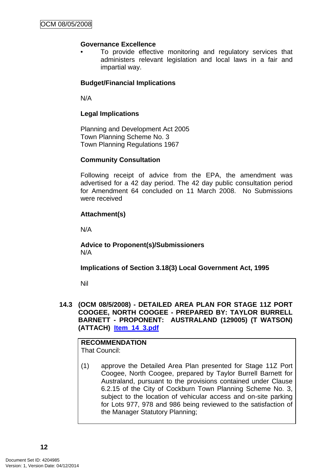### <span id="page-15-0"></span>**Governance Excellence**

To provide effective monitoring and regulatory services that administers relevant legislation and local laws in a fair and impartial way.

### **Budget/Financial Implications**

N/A

### **Legal Implications**

Planning and Development Act 2005 Town Planning Scheme No. 3 Town Planning Regulations 1967

### **Community Consultation**

Following receipt of advice from the EPA, the amendment was advertised for a 42 day period. The 42 day public consultation period for Amendment 64 concluded on 11 March 2008. No Submissions were received

### **Attachment(s)**

N/A

**Advice to Proponent(s)/Submissioners**  N/A

**Implications of Section 3.18(3) Local Government Act, 1995**

Nil

**14.3 (OCM 08/5/2008) - DETAILED AREA PLAN FOR STAGE 11Z PORT COOGEE, NORTH COOGEE - PREPARED BY: TAYLOR BURRELL BARNETT - PROPONENT: AUSTRALAND (129005) (T WATSON) (ATTACH) Item\_14\_3.pdf**

# **RECOMMENDATION**

That Council:

(1) approve the Detailed Area Plan presented for Stage 11Z Port Coogee, North Coogee, prepared by Taylor Burrell Barnett for Australand, pursuant to the provisions contained under Clause 6.2.15 of the City of Cockburn Town Planning Scheme No. 3, subject to the location of vehicular access and on-site parking for Lots 977, 978 and 986 being reviewed to the satisfaction of the Manager Statutory Planning;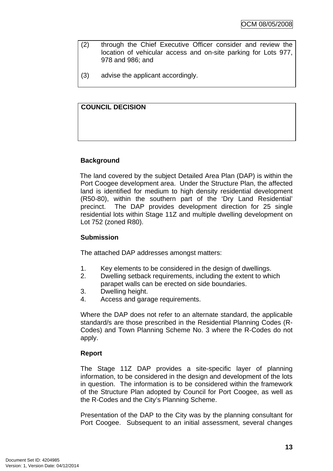- (2) through the Chief Executive Officer consider and review the location of vehicular access and on-site parking for Lots 977, 978 and 986; and
- (3) advise the applicant accordingly.

# **COUNCIL DECISION**

### **Background**

The land covered by the subject Detailed Area Plan (DAP) is within the Port Coogee development area. Under the Structure Plan, the affected land is identified for medium to high density residential development (R50-80), within the southern part of the 'Dry Land Residential' precinct. The DAP provides development direction for 25 single residential lots within Stage 11Z and multiple dwelling development on Lot 752 (zoned R80).

### **Submission**

The attached DAP addresses amongst matters:

- 1. Key elements to be considered in the design of dwellings.
- 2. Dwelling setback requirements, including the extent to which parapet walls can be erected on side boundaries.
- 3. Dwelling height.
- 4. Access and garage requirements.

Where the DAP does not refer to an alternate standard, the applicable standard/s are those prescribed in the Residential Planning Codes (R-Codes) and Town Planning Scheme No. 3 where the R-Codes do not apply.

### **Report**

The Stage 11Z DAP provides a site-specific layer of planning information, to be considered in the design and development of the lots in question. The information is to be considered within the framework of the Structure Plan adopted by Council for Port Coogee, as well as the R-Codes and the City's Planning Scheme.

Presentation of the DAP to the City was by the planning consultant for Port Coogee. Subsequent to an initial assessment, several changes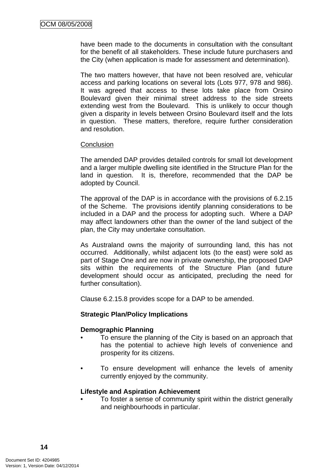have been made to the documents in consultation with the consultant for the benefit of all stakeholders. These include future purchasers and the City (when application is made for assessment and determination).

The two matters however, that have not been resolved are, vehicular access and parking locations on several lots (Lots 977, 978 and 986). It was agreed that access to these lots take place from Orsino Boulevard given their minimal street address to the side streets extending west from the Boulevard. This is unlikely to occur though given a disparity in levels between Orsino Boulevard itself and the lots in question. These matters, therefore, require further consideration and resolution.

### **Conclusion**

The amended DAP provides detailed controls for small lot development and a larger multiple dwelling site identified in the Structure Plan for the land in question. It is, therefore, recommended that the DAP be adopted by Council.

The approval of the DAP is in accordance with the provisions of 6.2.15 of the Scheme. The provisions identify planning considerations to be included in a DAP and the process for adopting such. Where a DAP may affect landowners other than the owner of the land subject of the plan, the City may undertake consultation.

As Australand owns the majority of surrounding land, this has not occurred. Additionally, whilst adjacent lots (to the east) were sold as part of Stage One and are now in private ownership, the proposed DAP sits within the requirements of the Structure Plan (and future development should occur as anticipated, precluding the need for further consultation).

Clause 6.2.15.8 provides scope for a DAP to be amended.

### **Strategic Plan/Policy Implications**

#### **Demographic Planning**

- To ensure the planning of the City is based on an approach that has the potential to achieve high levels of convenience and prosperity for its citizens.
- To ensure development will enhance the levels of amenity currently enjoyed by the community.

### **Lifestyle and Aspiration Achievement**

• To foster a sense of community spirit within the district generally and neighbourhoods in particular.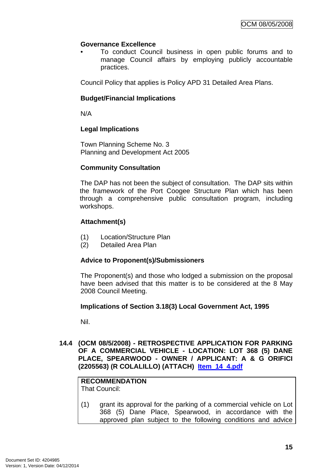### <span id="page-18-0"></span>**Governance Excellence**

• To conduct Council business in open public forums and to manage Council affairs by employing publicly accountable practices.

Council Policy that applies is Policy APD 31 Detailed Area Plans.

### **Budget/Financial Implications**

N/A

### **Legal Implications**

Town Planning Scheme No. 3 Planning and Development Act 2005

### **Community Consultation**

The DAP has not been the subject of consultation. The DAP sits within the framework of the Port Coogee Structure Plan which has been through a comprehensive public consultation program, including workshops.

### **Attachment(s)**

- (1) Location/Structure Plan
- (2) Detailed Area Plan

## **Advice to Proponent(s)/Submissioners**

The Proponent(s) and those who lodged a submission on the proposal have been advised that this matter is to be considered at the 8 May 2008 Council Meeting.

### **Implications of Section 3.18(3) Local Government Act, 1995**

Nil.

#### **14.4 (OCM 08/5/2008) - RETROSPECTIVE APPLICATION FOR PARKING OF A COMMERCIAL VEHICLE - LOCATION: LOT 368 (5) DANE PLACE, SPEARWOOD - OWNER / APPLICANT: A & G ORIFICI (2205563) (R COLALILLO) (ATTACH) Item\_14\_4.pdf**

# **RECOMMENDATION**

That Council:

(1) grant its approval for the parking of a commercial vehicle on Lot 368 (5) Dane Place, Spearwood, in accordance with the approved plan subject to the following conditions and advice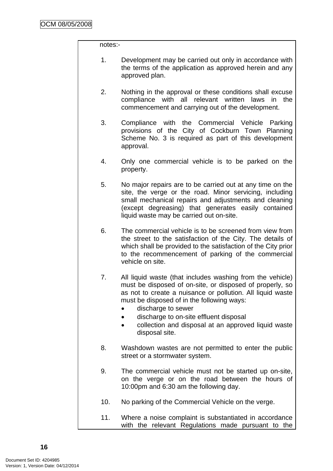#### notes:-

- 1. Development may be carried out only in accordance with the terms of the application as approved herein and any approved plan.
- 2. Nothing in the approval or these conditions shall excuse compliance with all relevant written laws in the commencement and carrying out of the development.
- 3. Compliance with the Commercial Vehicle Parking provisions of the City of Cockburn Town Planning Scheme No. 3 is required as part of this development approval.
- 4. Only one commercial vehicle is to be parked on the property.
- 5. No major repairs are to be carried out at any time on the site, the verge or the road. Minor servicing, including small mechanical repairs and adjustments and cleaning (except degreasing) that generates easily contained liquid waste may be carried out on-site.
- 6. The commercial vehicle is to be screened from view from the street to the satisfaction of the City. The details of which shall be provided to the satisfaction of the City prior to the recommencement of parking of the commercial vehicle on site.
- 7. All liquid waste (that includes washing from the vehicle) must be disposed of on-site, or disposed of properly, so as not to create a nuisance or pollution. All liquid waste must be disposed of in the following ways:
	- discharge to sewer
	- discharge to on-site effluent disposal
	- collection and disposal at an approved liquid waste disposal site.
- 8. Washdown wastes are not permitted to enter the public street or a stormwater system.
- 9. The commercial vehicle must not be started up on-site, on the verge or on the road between the hours of 10:00pm and 6:30 am the following day.
- 10. No parking of the Commercial Vehicle on the verge.
- 11. Where a noise complaint is substantiated in accordance with the relevant Regulations made pursuant to the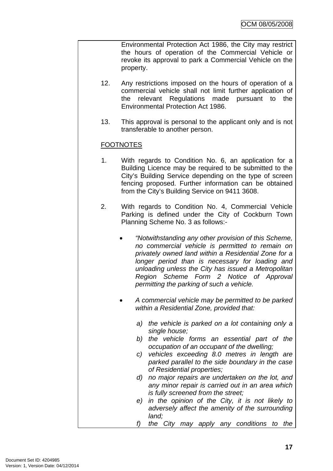Environmental Protection Act 1986, the City may restrict the hours of operation of the Commercial Vehicle or revoke its approval to park a Commercial Vehicle on the property.

- 12. Any restrictions imposed on the hours of operation of a commercial vehicle shall not limit further application of the relevant Regulations made pursuant to the Environmental Protection Act 1986.
- 13. This approval is personal to the applicant only and is not transferable to another person.

### **FOOTNOTES**

- 1. With regards to Condition No. 6, an application for a Building Licence may be required to be submitted to the City's Building Service depending on the type of screen fencing proposed. Further information can be obtained from the City's Building Service on 9411 3608.
- 2. With regards to Condition No. 4, Commercial Vehicle Parking is defined under the City of Cockburn Town Planning Scheme No. 3 as follows:-
	- *"Notwithstanding any other provision of this Scheme, no commercial vehicle is permitted to remain on privately owned land within a Residential Zone for a longer period than is necessary for loading and unloading unless the City has issued a Metropolitan Region Scheme Form 2 Notice of Approval permitting the parking of such a vehicle.*
	- *A commercial vehicle may be permitted to be parked within a Residential Zone, provided that:* 
		- *a) the vehicle is parked on a lot containing only a single house;*
		- *b) the vehicle forms an essential part of the occupation of an occupant of the dwelling;*
		- *c) vehicles exceeding 8.0 metres in length are parked parallel to the side boundary in the case of Residential properties;*
		- *d) no major repairs are undertaken on the lot, and any minor repair is carried out in an area which is fully screened from the street;*
		- *e) in the opinion of the City, it is not likely to adversely affect the amenity of the surrounding land;*
		- *f) the City may apply any conditions to the*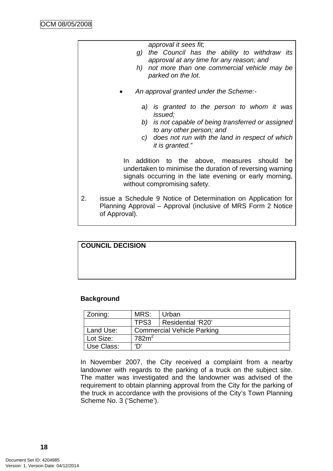*approval it sees fit;* 

- *g) the Council has the ability to withdraw its approval at any time for any reason; and*
- *h) not more than one commercial vehicle may be parked on the lot.*
- *An approval granted under the Scheme:* 
	- *a) is granted to the person to whom it was issued;*
	- *b) is not capable of being transferred or assigned to any other person; and*
	- *c) does not run with the land in respect of which it is granted."*

In addition to the above, measures should be undertaken to minimise the duration of reversing warning signals occurring in the late evening or early morning, without compromising safety.

2. issue a Schedule 9 Notice of Determination on Application for Planning Approval – Approval (inclusive of MRS Form 2 Notice of Approval).

**COUNCIL DECISION**

### **Background**

| Zoning:    | MRS:                              | Urban             |  |
|------------|-----------------------------------|-------------------|--|
|            | TPS3                              | Residential 'R20' |  |
| Land Use:  | <b>Commercial Vehicle Parking</b> |                   |  |
| Lot Size:  | 782m <sup>2</sup>                 |                   |  |
| Use Class: | ירו'                              |                   |  |

In November 2007, the City received a complaint from a nearby landowner with regards to the parking of a truck on the subject site. The matter was investigated and the landowner was advised of the requirement to obtain planning approval from the City for the parking of the truck in accordance with the provisions of the City's Town Planning Scheme No. 3 ('Scheme').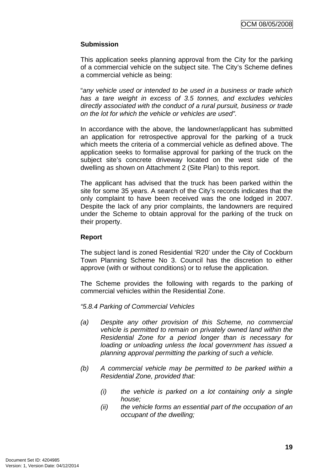### **Submission**

This application seeks planning approval from the City for the parking of a commercial vehicle on the subject site. The City's Scheme defines a commercial vehicle as being:

"*any vehicle used or intended to be used in a business or trade which has a tare weight in excess of 3.5 tonnes, and excludes vehicles directly associated with the conduct of a rural pursuit, business or trade on the lot for which the vehicle or vehicles are used".*

In accordance with the above, the landowner/applicant has submitted an application for retrospective approval for the parking of a truck which meets the criteria of a commercial vehicle as defined above. The application seeks to formalise approval for parking of the truck on the subject site's concrete driveway located on the west side of the dwelling as shown on Attachment 2 (Site Plan) to this report.

The applicant has advised that the truck has been parked within the site for some 35 years. A search of the City's records indicates that the only complaint to have been received was the one lodged in 2007. Despite the lack of any prior complaints, the landowners are required under the Scheme to obtain approval for the parking of the truck on their property.

### **Report**

The subject land is zoned Residential 'R20' under the City of Cockburn Town Planning Scheme No 3. Council has the discretion to either approve (with or without conditions) or to refuse the application.

The Scheme provides the following with regards to the parking of commercial vehicles within the Residential Zone.

### *"5.8.4 Parking of Commercial Vehicles*

- *(a) Despite any other provision of this Scheme, no commercial vehicle is permitted to remain on privately owned land within the Residential Zone for a period longer than is necessary for loading or unloading unless the local government has issued a planning approval permitting the parking of such a vehicle.*
- *(b) A commercial vehicle may be permitted to be parked within a Residential Zone, provided that:* 
	- *(i) the vehicle is parked on a lot containing only a single house;*
	- *(ii) the vehicle forms an essential part of the occupation of an occupant of the dwelling;*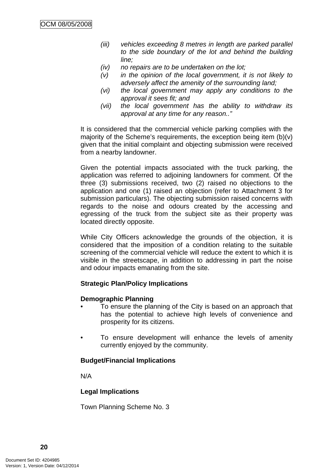- *(iii) vehicles exceeding 8 metres in length are parked parallel to the side boundary of the lot and behind the building line;*
- *(iv) no repairs are to be undertaken on the lot;*
- *(v) in the opinion of the local government, it is not likely to adversely affect the amenity of the surrounding land;*
- *(vi) the local government may apply any conditions to the approval it sees fit; and*
- *(vii) the local government has the ability to withdraw its approval at any time for any reason.."*

It is considered that the commercial vehicle parking complies with the majority of the Scheme's requirements, the exception being item (b)(v) given that the initial complaint and objecting submission were received from a nearby landowner.

Given the potential impacts associated with the truck parking, the application was referred to adjoining landowners for comment. Of the three (3) submissions received, two (2) raised no objections to the application and one (1) raised an objection (refer to Attachment 3 for submission particulars). The objecting submission raised concerns with regards to the noise and odours created by the accessing and egressing of the truck from the subject site as their property was located directly opposite.

While City Officers acknowledge the grounds of the objection, it is considered that the imposition of a condition relating to the suitable screening of the commercial vehicle will reduce the extent to which it is visible in the streetscape, in addition to addressing in part the noise and odour impacts emanating from the site.

### **Strategic Plan/Policy Implications**

#### **Demographic Planning**

- To ensure the planning of the City is based on an approach that has the potential to achieve high levels of convenience and prosperity for its citizens.
- To ensure development will enhance the levels of amenity currently enjoyed by the community.

### **Budget/Financial Implications**

N/A

#### **Legal Implications**

Town Planning Scheme No. 3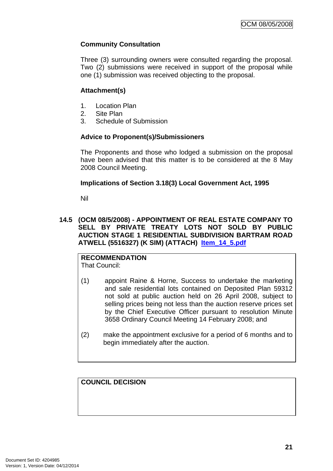## <span id="page-24-0"></span>**Community Consultation**

Three (3) surrounding owners were consulted regarding the proposal. Two (2) submissions were received in support of the proposal while one (1) submission was received objecting to the proposal.

### **Attachment(s)**

- 1. Location Plan
- 2. Site Plan
- 3. Schedule of Submission

### **Advice to Proponent(s)/Submissioners**

The Proponents and those who lodged a submission on the proposal have been advised that this matter is to be considered at the 8 May 2008 Council Meeting.

### **Implications of Section 3.18(3) Local Government Act, 1995**

Nil

### **14.5 (OCM 08/5/2008) - APPOINTMENT OF REAL ESTATE COMPANY TO SELL BY PRIVATE TREATY LOTS NOT SOLD BY PUBLIC AUCTION STAGE 1 RESIDENTIAL SUBDIVISION BARTRAM ROAD ATWELL (5516327) (K SIM) (ATTACH) Item\_14\_5.pdf**

#### **RECOMMENDATION** That Council:

- (1) appoint Raine & Horne, Success to undertake the marketing and sale residential lots contained on Deposited Plan 59312 not sold at public auction held on 26 April 2008, subject to selling prices being not less than the auction reserve prices set by the Chief Executive Officer pursuant to resolution Minute 3658 Ordinary Council Meeting 14 February 2008; and
- (2) make the appointment exclusive for a period of 6 months and to begin immediately after the auction.

**COUNCIL DECISION**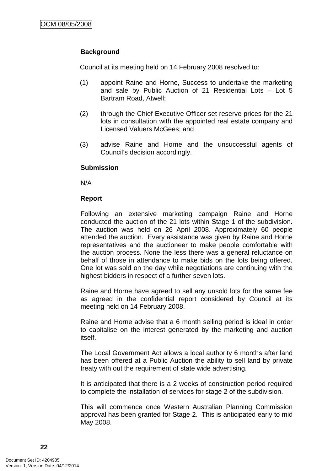### **Background**

Council at its meeting held on 14 February 2008 resolved to:

- (1) appoint Raine and Horne, Success to undertake the marketing and sale by Public Auction of 21 Residential Lots – Lot 5 Bartram Road, Atwell;
- (2) through the Chief Executive Officer set reserve prices for the 21 lots in consultation with the appointed real estate company and Licensed Valuers McGees; and
- (3) advise Raine and Horne and the unsuccessful agents of Council's decision accordingly.

#### **Submission**

N/A

#### **Report**

Following an extensive marketing campaign Raine and Horne conducted the auction of the 21 lots within Stage 1 of the subdivision. The auction was held on 26 April 2008. Approximately 60 people attended the auction. Every assistance was given by Raine and Horne representatives and the auctioneer to make people comfortable with the auction process. None the less there was a general reluctance on behalf of those in attendance to make bids on the lots being offered. One lot was sold on the day while negotiations are continuing with the highest bidders in respect of a further seven lots.

Raine and Horne have agreed to sell any unsold lots for the same fee as agreed in the confidential report considered by Council at its meeting held on 14 February 2008.

Raine and Horne advise that a 6 month selling period is ideal in order to capitalise on the interest generated by the marketing and auction itself.

The Local Government Act allows a local authority 6 months after land has been offered at a Public Auction the ability to sell land by private treaty with out the requirement of state wide advertising.

It is anticipated that there is a 2 weeks of construction period required to complete the installation of services for stage 2 of the subdivision.

This will commence once Western Australian Planning Commission approval has been granted for Stage 2. This is anticipated early to mid May 2008.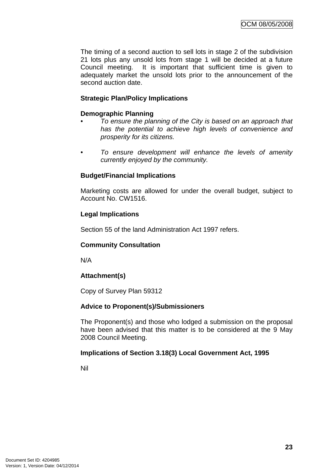The timing of a second auction to sell lots in stage 2 of the subdivision 21 lots plus any unsold lots from stage 1 will be decided at a future Council meeting. It is important that sufficient time is given to adequately market the unsold lots prior to the announcement of the second auction date.

### **Strategic Plan/Policy Implications**

### **Demographic Planning**

- *To ensure the planning of the City is based on an approach that has the potential to achieve high levels of convenience and prosperity for its citizens.*
- *To ensure development will enhance the levels of amenity currently enjoyed by the community.*

### **Budget/Financial Implications**

Marketing costs are allowed for under the overall budget, subject to Account No. CW1516.

### **Legal Implications**

Section 55 of the land Administration Act 1997 refers.

### **Community Consultation**

N/A

## **Attachment(s)**

Copy of Survey Plan 59312

### **Advice to Proponent(s)/Submissioners**

The Proponent(s) and those who lodged a submission on the proposal have been advised that this matter is to be considered at the 9 May 2008 Council Meeting.

### **Implications of Section 3.18(3) Local Government Act, 1995**

Nil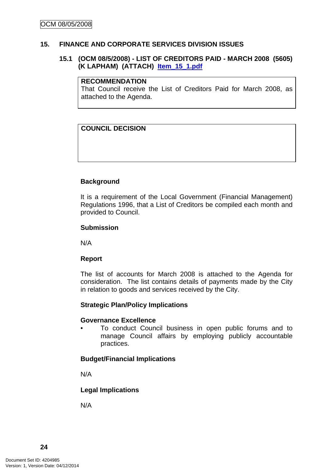### <span id="page-27-0"></span>**15. FINANCE AND CORPORATE SERVICES DIVISION ISSUES**

### **15.1 (OCM 08/5/2008) - LIST OF CREDITORS PAID - MARCH 2008 (5605) (K LAPHAM) (ATTACH) Item\_15\_1.pdf**

#### **RECOMMENDATION**

That Council receive the List of Creditors Paid for March 2008, as attached to the Agenda.

### **COUNCIL DECISION**

#### **Background**

It is a requirement of the Local Government (Financial Management) Regulations 1996, that a List of Creditors be compiled each month and provided to Council.

#### **Submission**

N/A

#### **Report**

The list of accounts for March 2008 is attached to the Agenda for consideration. The list contains details of payments made by the City in relation to goods and services received by the City.

#### **Strategic Plan/Policy Implications**

#### **Governance Excellence**

• To conduct Council business in open public forums and to manage Council affairs by employing publicly accountable practices.

#### **Budget/Financial Implications**

N/A

**Legal Implications** 

N/A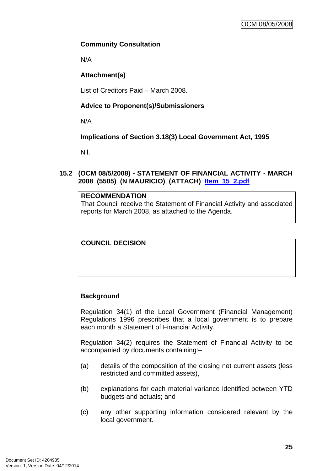## <span id="page-28-0"></span>**Community Consultation**

N/A

## **Attachment(s)**

List of Creditors Paid – March 2008.

## **Advice to Proponent(s)/Submissioners**

N/A

## **Implications of Section 3.18(3) Local Government Act, 1995**

Nil.

## **15.2 (OCM 08/5/2008) - STATEMENT OF FINANCIAL ACTIVITY - MARCH 2008 (5505) (N MAURICIO) (ATTACH) Item\_15\_2.pdf**

### **RECOMMENDATION**

That Council receive the Statement of Financial Activity and associated reports for March 2008, as attached to the Agenda.

# **COUNCIL DECISION**

## **Background**

Regulation 34(1) of the Local Government (Financial Management) Regulations 1996 prescribes that a local government is to prepare each month a Statement of Financial Activity.

Regulation 34(2) requires the Statement of Financial Activity to be accompanied by documents containing:–

- (a) details of the composition of the closing net current assets (less restricted and committed assets),
- (b) explanations for each material variance identified between YTD budgets and actuals; and
- (c) any other supporting information considered relevant by the local government.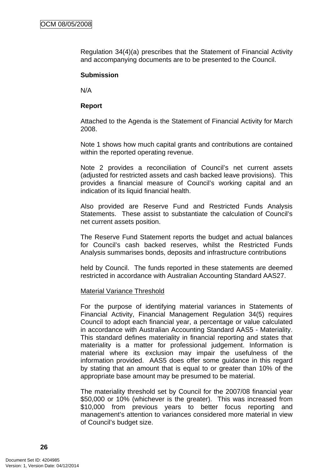Regulation 34(4)(a) prescribes that the Statement of Financial Activity and accompanying documents are to be presented to the Council.

#### **Submission**

N/A

#### **Report**

Attached to the Agenda is the Statement of Financial Activity for March 2008.

Note 1 shows how much capital grants and contributions are contained within the reported operating revenue.

Note 2 provides a reconciliation of Council's net current assets (adjusted for restricted assets and cash backed leave provisions). This provides a financial measure of Council's working capital and an indication of its liquid financial health.

Also provided are Reserve Fund and Restricted Funds Analysis Statements. These assist to substantiate the calculation of Council's net current assets position.

The Reserve Fund Statement reports the budget and actual balances for Council's cash backed reserves, whilst the Restricted Funds Analysis summarises bonds, deposits and infrastructure contributions

held by Council. The funds reported in these statements are deemed restricted in accordance with Australian Accounting Standard AAS27.

### Material Variance Threshold

For the purpose of identifying material variances in Statements of Financial Activity, Financial Management Regulation 34(5) requires Council to adopt each financial year, a percentage or value calculated in accordance with Australian Accounting Standard AAS5 - Materiality. This standard defines materiality in financial reporting and states that materiality is a matter for professional judgement. Information is material where its exclusion may impair the usefulness of the information provided. AAS5 does offer some guidance in this regard by stating that an amount that is equal to or greater than 10% of the appropriate base amount may be presumed to be material.

The materiality threshold set by Council for the 2007/08 financial year \$50,000 or 10% (whichever is the greater). This was increased from \$10,000 from previous years to better focus reporting and management's attention to variances considered more material in view of Council's budget size.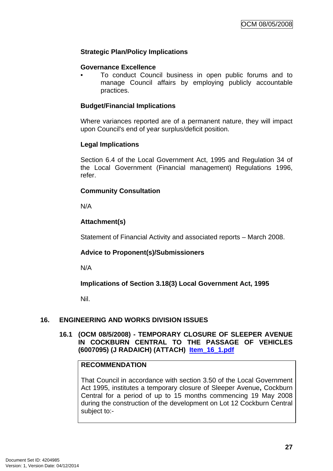### <span id="page-30-0"></span>**Strategic Plan/Policy Implications**

### **Governance Excellence**

• To conduct Council business in open public forums and to manage Council affairs by employing publicly accountable practices.

### **Budget/Financial Implications**

Where variances reported are of a permanent nature, they will impact upon Council's end of year surplus/deficit position.

### **Legal Implications**

Section 6.4 of the Local Government Act, 1995 and Regulation 34 of the Local Government (Financial management) Regulations 1996, refer.

### **Community Consultation**

N/A

## **Attachment(s)**

Statement of Financial Activity and associated reports – March 2008.

### **Advice to Proponent(s)/Submissioners**

N/A

**Implications of Section 3.18(3) Local Government Act, 1995**

Nil.

### **16. ENGINEERING AND WORKS DIVISION ISSUES**

**16.1 (OCM 08/5/2008) - TEMPORARY CLOSURE OF SLEEPER AVENUE IN COCKBURN CENTRAL TO THE PASSAGE OF VEHICLES (6007095) (J RADAICH) (ATTACH) Item\_16\_1.pdf**

# **RECOMMENDATION**

That Council in accordance with section 3.50 of the Local Government Act 1995, institutes a temporary closure of Sleeper Avenue**,** Cockburn Central for a period of up to 15 months commencing 19 May 2008 during the construction of the development on Lot 12 Cockburn Central subject to:-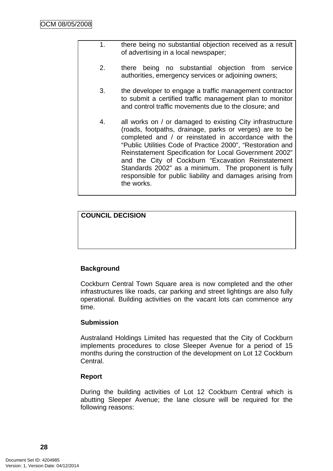| 1. | there being no substantial objection received as a result<br>of advertising in a local newspaper;                                                                                                                                                                                                                                                                                                                                                                                             |
|----|-----------------------------------------------------------------------------------------------------------------------------------------------------------------------------------------------------------------------------------------------------------------------------------------------------------------------------------------------------------------------------------------------------------------------------------------------------------------------------------------------|
| 2. | there being no substantial objection from service<br>authorities, emergency services or adjoining owners;                                                                                                                                                                                                                                                                                                                                                                                     |
| 3. | the developer to engage a traffic management contractor<br>to submit a certified traffic management plan to monitor<br>and control traffic movements due to the closure; and                                                                                                                                                                                                                                                                                                                  |
| 4. | all works on / or damaged to existing City infrastructure<br>(roads, footpaths, drainage, parks or verges) are to be<br>completed and / or reinstated in accordance with the<br>"Public Utilities Code of Practice 2000", "Restoration and<br>Reinstatement Specification for Local Government 2002"<br>and the City of Cockburn "Excavation Reinstatement<br>Standards 2002" as a minimum. The proponent is fully<br>responsible for public liability and damages arising from<br>the works. |

# **COUNCIL DECISION**

## **Background**

Cockburn Central Town Square area is now completed and the other infrastructures like roads, car parking and street lightings are also fully operational. Building activities on the vacant lots can commence any time.

## **Submission**

Australand Holdings Limited has requested that the City of Cockburn implements procedures to close Sleeper Avenue for a period of 15 months during the construction of the development on Lot 12 Cockburn Central.

## **Report**

During the building activities of Lot 12 Cockburn Central which is abutting Sleeper Avenue; the lane closure will be required for the following reasons: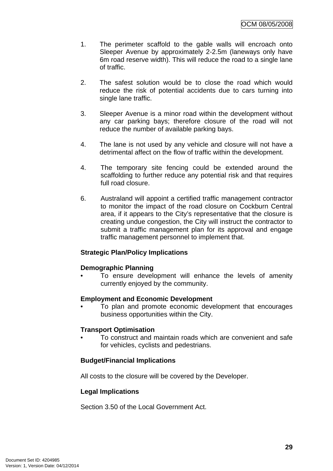- 1. The perimeter scaffold to the gable walls will encroach onto Sleeper Avenue by approximately 2-2.5m (laneways only have 6m road reserve width). This will reduce the road to a single lane of traffic.
- 2. The safest solution would be to close the road which would reduce the risk of potential accidents due to cars turning into single lane traffic.
- 3. Sleeper Avenue is a minor road within the development without any car parking bays; therefore closure of the road will not reduce the number of available parking bays.
- 4. The lane is not used by any vehicle and closure will not have a detrimental affect on the flow of traffic within the development.
- 4. The temporary site fencing could be extended around the scaffolding to further reduce any potential risk and that requires full road closure.
- 6. Australand will appoint a certified traffic management contractor to monitor the impact of the road closure on Cockburn Central area, if it appears to the City's representative that the closure is creating undue congestion, the City will instruct the contractor to submit a traffic management plan for its approval and engage traffic management personnel to implement that.

## **Strategic Plan/Policy Implications**

### **Demographic Planning**

• To ensure development will enhance the levels of amenity currently enjoyed by the community.

### **Employment and Economic Development**

• To plan and promote economic development that encourages business opportunities within the City.

### **Transport Optimisation**

• To construct and maintain roads which are convenient and safe for vehicles, cyclists and pedestrians.

## **Budget/Financial Implications**

All costs to the closure will be covered by the Developer.

### **Legal Implications**

Section 3.50 of the Local Government Act.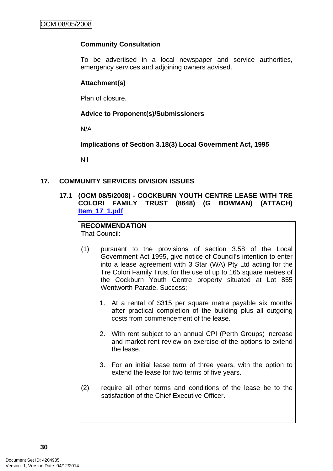### <span id="page-33-0"></span>**Community Consultation**

To be advertised in a local newspaper and service authorities, emergency services and adjoining owners advised.

### **Attachment(s)**

Plan of closure.

### **Advice to Proponent(s)/Submissioners**

N/A

**Implications of Section 3.18(3) Local Government Act, 1995**

Nil

### **17. COMMUNITY SERVICES DIVISION ISSUES**

**17.1 (OCM 08/5/2008) - COCKBURN YOUTH CENTRE LEASE WITH TRE COLORI FAMILY TRUST (8648) (G BOWMAN) (ATTACH) Item\_17\_1.pdf**

# **RECOMMENDATION**

That Council:

- (1) pursuant to the provisions of section 3.58 of the Local Government Act 1995, give notice of Council's intention to enter into a lease agreement with 3 Star (WA) Pty Ltd acting for the Tre Colori Family Trust for the use of up to 165 square metres of the Cockburn Youth Centre property situated at Lot 855 Wentworth Parade, Success;
	- 1. At a rental of \$315 per square metre payable six months after practical completion of the building plus all outgoing costs from commencement of the lease.
	- 2. With rent subject to an annual CPI (Perth Groups) increase and market rent review on exercise of the options to extend the lease.
	- 3. For an initial lease term of three years, with the option to extend the lease for two terms of five years.
- (2) require all other terms and conditions of the lease be to the satisfaction of the Chief Executive Officer.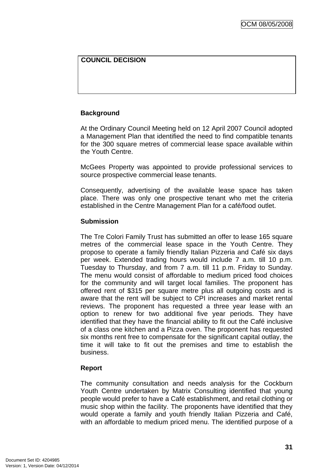### **COUNCIL DECISION**

### **Background**

At the Ordinary Council Meeting held on 12 April 2007 Council adopted a Management Plan that identified the need to find compatible tenants for the 300 square metres of commercial lease space available within the Youth Centre.

McGees Property was appointed to provide professional services to source prospective commercial lease tenants.

Consequently, advertising of the available lease space has taken place. There was only one prospective tenant who met the criteria established in the Centre Management Plan for a café/food outlet.

### **Submission**

The Tre Colori Family Trust has submitted an offer to lease 165 square metres of the commercial lease space in the Youth Centre. They propose to operate a family friendly Italian Pizzeria and Café six days per week. Extended trading hours would include 7 a.m. till 10 p.m. Tuesday to Thursday, and from 7 a.m. till 11 p.m. Friday to Sunday. The menu would consist of affordable to medium priced food choices for the community and will target local families. The proponent has offered rent of \$315 per square metre plus all outgoing costs and is aware that the rent will be subject to CPI increases and market rental reviews. The proponent has requested a three year lease with an option to renew for two additional five year periods. They have identified that they have the financial ability to fit out the Café inclusive of a class one kitchen and a Pizza oven. The proponent has requested six months rent free to compensate for the significant capital outlay, the time it will take to fit out the premises and time to establish the business.

### **Report**

The community consultation and needs analysis for the Cockburn Youth Centre undertaken by Matrix Consulting identified that young people would prefer to have a Café establishment, and retail clothing or music shop within the facility. The proponents have identified that they would operate a family and youth friendly Italian Pizzeria and Café, with an affordable to medium priced menu. The identified purpose of a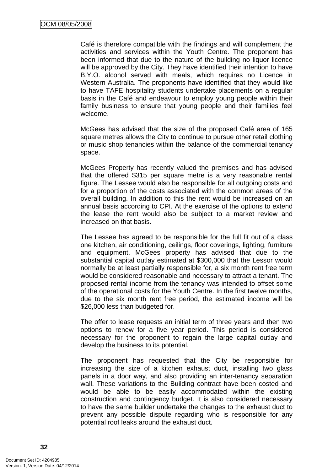Café is therefore compatible with the findings and will complement the activities and services within the Youth Centre. The proponent has been informed that due to the nature of the building no liquor licence will be approved by the City. They have identified their intention to have B.Y.O. alcohol served with meals, which requires no Licence in Western Australia. The proponents have identified that they would like to have TAFE hospitality students undertake placements on a regular basis in the Café and endeavour to employ young people within their family business to ensure that young people and their families feel welcome.

McGees has advised that the size of the proposed Café area of 165 square metres allows the City to continue to pursue other retail clothing or music shop tenancies within the balance of the commercial tenancy space.

McGees Property has recently valued the premises and has advised that the offered \$315 per square metre is a very reasonable rental figure. The Lessee would also be responsible for all outgoing costs and for a proportion of the costs associated with the common areas of the overall building. In addition to this the rent would be increased on an annual basis according to CPI. At the exercise of the options to extend the lease the rent would also be subject to a market review and increased on that basis.

The Lessee has agreed to be responsible for the full fit out of a class one kitchen, air conditioning, ceilings, floor coverings, lighting, furniture and equipment. McGees property has advised that due to the substantial capital outlay estimated at \$300,000 that the Lessor would normally be at least partially responsible for, a six month rent free term would be considered reasonable and necessary to attract a tenant. The proposed rental income from the tenancy was intended to offset some of the operational costs for the Youth Centre. In the first twelve months, due to the six month rent free period, the estimated income will be \$26,000 less than budgeted for.

The offer to lease requests an initial term of three years and then two options to renew for a five year period. This period is considered necessary for the proponent to regain the large capital outlay and develop the business to its potential.

The proponent has requested that the City be responsible for increasing the size of a kitchen exhaust duct, installing two glass panels in a door way, and also providing an inter-tenancy separation wall. These variations to the Building contract have been costed and would be able to be easily accommodated within the existing construction and contingency budget. It is also considered necessary to have the same builder undertake the changes to the exhaust duct to prevent any possible dispute regarding who is responsible for any potential roof leaks around the exhaust duct.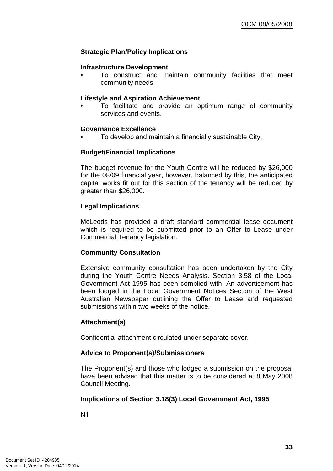### **Strategic Plan/Policy Implications**

### **Infrastructure Development**

• To construct and maintain community facilities that meet community needs.

#### **Lifestyle and Aspiration Achievement**

• To facilitate and provide an optimum range of community services and events.

#### **Governance Excellence**

• To develop and maintain a financially sustainable City.

### **Budget/Financial Implications**

The budget revenue for the Youth Centre will be reduced by \$26,000 for the 08/09 financial year, however, balanced by this, the anticipated capital works fit out for this section of the tenancy will be reduced by greater than \$26,000.

### **Legal Implications**

McLeods has provided a draft standard commercial lease document which is required to be submitted prior to an Offer to Lease under Commercial Tenancy legislation.

### **Community Consultation**

Extensive community consultation has been undertaken by the City during the Youth Centre Needs Analysis. Section 3.58 of the Local Government Act 1995 has been complied with. An advertisement has been lodged in the Local Government Notices Section of the West Australian Newspaper outlining the Offer to Lease and requested submissions within two weeks of the notice.

### **Attachment(s)**

Confidential attachment circulated under separate cover.

### **Advice to Proponent(s)/Submissioners**

The Proponent(s) and those who lodged a submission on the proposal have been advised that this matter is to be considered at 8 May 2008 Council Meeting.

### **Implications of Section 3.18(3) Local Government Act, 1995**

Nil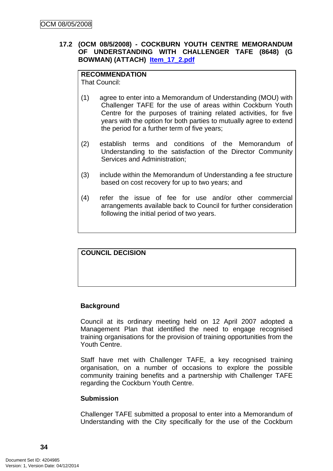### <span id="page-37-0"></span>**17.2 (OCM 08/5/2008) - COCKBURN YOUTH CENTRE MEMORANDUM OF UNDERSTANDING WITH CHALLENGER TAFE (8648) (G BOWMAN) (ATTACH) Item\_17\_2.pdf**

# **RECOMMENDATION**

That Council:

- (1) agree to enter into a Memorandum of Understanding (MOU) with Challenger TAFE for the use of areas within Cockburn Youth Centre for the purposes of training related activities, for five years with the option for both parties to mutually agree to extend the period for a further term of five years;
- (2) establish terms and conditions of the Memorandum of Understanding to the satisfaction of the Director Community Services and Administration;
- (3) include within the Memorandum of Understanding a fee structure based on cost recovery for up to two years; and
- (4) refer the issue of fee for use and/or other commercial arrangements available back to Council for further consideration following the initial period of two years.

**COUNCIL DECISION**

## **Background**

Council at its ordinary meeting held on 12 April 2007 adopted a Management Plan that identified the need to engage recognised training organisations for the provision of training opportunities from the Youth Centre.

Staff have met with Challenger TAFE, a key recognised training organisation, on a number of occasions to explore the possible community training benefits and a partnership with Challenger TAFE regarding the Cockburn Youth Centre.

### **Submission**

Challenger TAFE submitted a proposal to enter into a Memorandum of Understanding with the City specifically for the use of the Cockburn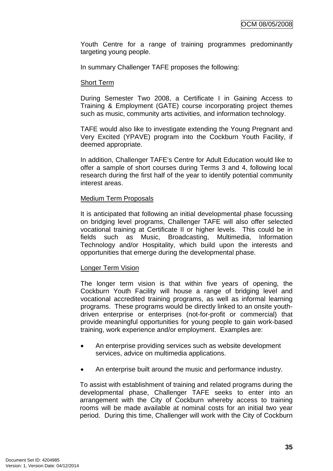Youth Centre for a range of training programmes predominantly targeting young people.

In summary Challenger TAFE proposes the following:

### Short Term

During Semester Two 2008, a Certificate I in Gaining Access to Training & Employment (GATE) course incorporating project themes such as music, community arts activities, and information technology.

TAFE would also like to investigate extending the Young Pregnant and Very Excited (YPAVE) program into the Cockburn Youth Facility, if deemed appropriate.

In addition, Challenger TAFE's Centre for Adult Education would like to offer a sample of short courses during Terms 3 and 4, following local research during the first half of the year to identify potential community interest areas.

#### Medium Term Proposals

It is anticipated that following an initial developmental phase focussing on bridging level programs, Challenger TAFE will also offer selected vocational training at Certificate II or higher levels. This could be in fields such as Music, Broadcasting, Multimedia, Information Technology and/or Hospitality, which build upon the interests and opportunities that emerge during the developmental phase.

### Longer Term Vision

The longer term vision is that within five years of opening, the Cockburn Youth Facility will house a range of bridging level and vocational accredited training programs, as well as informal learning programs. These programs would be directly linked to an onsite youthdriven enterprise or enterprises (not-for-profit or commercial) that provide meaningful opportunities for young people to gain work-based training, work experience and/or employment. Examples are:

- An enterprise providing services such as website development services, advice on multimedia applications.
- An enterprise built around the music and performance industry.

To assist with establishment of training and related programs during the developmental phase, Challenger TAFE seeks to enter into an arrangement with the City of Cockburn whereby access to training rooms will be made available at nominal costs for an initial two year period. During this time, Challenger will work with the City of Cockburn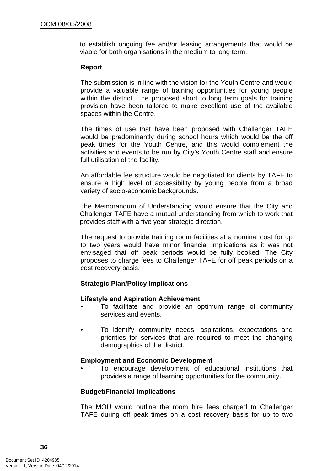to establish ongoing fee and/or leasing arrangements that would be viable for both organisations in the medium to long term.

### **Report**

The submission is in line with the vision for the Youth Centre and would provide a valuable range of training opportunities for young people within the district. The proposed short to long term goals for training provision have been tailored to make excellent use of the available spaces within the Centre.

The times of use that have been proposed with Challenger TAFE would be predominantly during school hours which would be the off peak times for the Youth Centre, and this would complement the activities and events to be run by City's Youth Centre staff and ensure full utilisation of the facility.

An affordable fee structure would be negotiated for clients by TAFE to ensure a high level of accessibility by young people from a broad variety of socio-economic backgrounds.

The Memorandum of Understanding would ensure that the City and Challenger TAFE have a mutual understanding from which to work that provides staff with a five year strategic direction.

The request to provide training room facilities at a nominal cost for up to two years would have minor financial implications as it was not envisaged that off peak periods would be fully booked. The City proposes to charge fees to Challenger TAFE for off peak periods on a cost recovery basis.

### **Strategic Plan/Policy Implications**

#### **Lifestyle and Aspiration Achievement**

- To facilitate and provide an optimum range of community services and events.
- To identify community needs, aspirations, expectations and priorities for services that are required to meet the changing demographics of the district.

### **Employment and Economic Development**

• To encourage development of educational institutions that provides a range of learning opportunities for the community.

#### **Budget/Financial Implications**

The MOU would outline the room hire fees charged to Challenger TAFE during off peak times on a cost recovery basis for up to two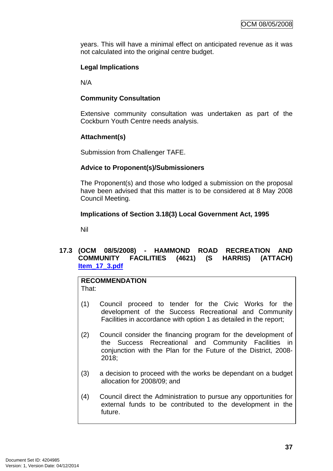<span id="page-40-0"></span>years. This will have a minimal effect on anticipated revenue as it was not calculated into the original centre budget.

### **Legal Implications**

N/A

### **Community Consultation**

Extensive community consultation was undertaken as part of the Cockburn Youth Centre needs analysis.

### **Attachment(s)**

Submission from Challenger TAFE.

### **Advice to Proponent(s)/Submissioners**

The Proponent(s) and those who lodged a submission on the proposal have been advised that this matter is to be considered at 8 May 2008 Council Meeting.

### **Implications of Section 3.18(3) Local Government Act, 1995**

Nil

# **17.3 (OCM 08/5/2008) - HAMMOND ROAD RECREATION AND COMMUNITY FACILITIES (4621) (S HARRIS) (ATTACH) Item\_17\_3.pdf**

#### **RECOMMENDATION** That:

- (1) Council proceed to tender for the Civic Works for the development of the Success Recreational and Community Facilities in accordance with option 1 as detailed in the report;
- (2) Council consider the financing program for the development of the Success Recreational and Community Facilities in conjunction with the Plan for the Future of the District, 2008- 2018;
- (3) a decision to proceed with the works be dependant on a budget allocation for 2008/09; and
- (4) Council direct the Administration to pursue any opportunities for external funds to be contributed to the development in the future.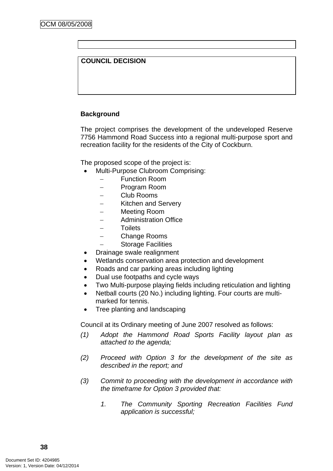### **COUNCIL DECISION**

### **Background**

The project comprises the development of the undeveloped Reserve 7756 Hammond Road Success into a regional multi-purpose sport and recreation facility for the residents of the City of Cockburn.

The proposed scope of the project is:

- Multi-Purpose Clubroom Comprising:
	- − Function Room
	- − Program Room
	- − Club Rooms
	- − Kitchen and Servery
	- − Meeting Room
	- − Administration Office
	- − Toilets
	- − Change Rooms
		- Storage Facilities
- Drainage swale realignment
- Wetlands conservation area protection and development
- Roads and car parking areas including lighting
- Dual use footpaths and cycle ways
- Two Multi-purpose playing fields including reticulation and lighting
- Netball courts (20 No.) including lighting. Four courts are multimarked for tennis.
- Tree planting and landscaping

Council at its Ordinary meeting of June 2007 resolved as follows:

- *(1) Adopt the Hammond Road Sports Facility layout plan as attached to the agenda;*
- *(2) Proceed with Option 3 for the development of the site as described in the report; and*
- *(3) Commit to proceeding with the development in accordance with the timeframe for Option 3 provided that:* 
	- *1. The Community Sporting Recreation Facilities Fund application is successful;*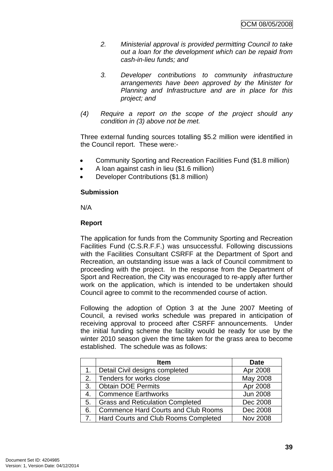- *2. Ministerial approval is provided permitting Council to take out a loan for the development which can be repaid from cash-in-lieu funds; and*
- *3. Developer contributions to community infrastructure arrangements have been approved by the Minister for Planning and Infrastructure and are in place for this project; and*
- *(4) Require a report on the scope of the project should any condition in (3) above not be met.*

Three external funding sources totalling \$5.2 million were identified in the Council report. These were:-

- Community Sporting and Recreation Facilities Fund (\$1.8 million)
- A loan against cash in lieu (\$1.6 million)
- Developer Contributions (\$1.8 million)

### **Submission**

N/A

### **Report**

The application for funds from the Community Sporting and Recreation Facilities Fund (C.S.R.F.F.) was unsuccessful. Following discussions with the Facilities Consultant CSRFF at the Department of Sport and Recreation, an outstanding issue was a lack of Council commitment to proceeding with the project. In the response from the Department of Sport and Recreation, the City was encouraged to re-apply after further work on the application, which is intended to be undertaken should Council agree to commit to the recommended course of action.

Following the adoption of Option 3 at the June 2007 Meeting of Council, a revised works schedule was prepared in anticipation of receiving approval to proceed after CSRFF announcements. Under the initial funding scheme the facility would be ready for use by the winter 2010 season given the time taken for the grass area to become established. The schedule was as follows:

|    | <b>Item</b>                                | <b>Date</b>     |
|----|--------------------------------------------|-----------------|
| 1. | Detail Civil designs completed             | Apr 2008        |
|    | 2.   Tenders for works close               | May 2008        |
| 3. | <b>Obtain DOE Permits</b>                  | Apr 2008        |
| 4. | <b>Commence Earthworks</b>                 | <b>Jun 2008</b> |
| 5. | <b>Grass and Reticulation Completed</b>    | Dec 2008        |
| 6. | <b>Commence Hard Courts and Club Rooms</b> | Dec 2008        |
|    | 7.   Hard Courts and Club Rooms Completed  | <b>Nov 2008</b> |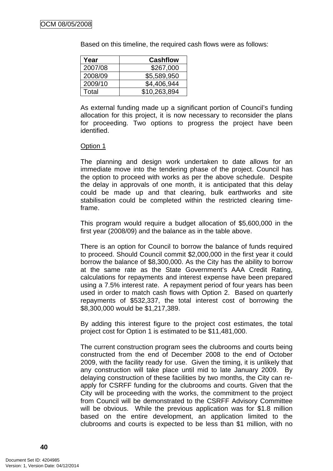Based on this timeline, the required cash flows were as follows:

| Year    | <b>Cashflow</b> |
|---------|-----------------|
| 2007/08 | \$267,000       |
| 2008/09 | \$5,589,950     |
| 2009/10 | \$4,406,944     |
| Total   | \$10,263,894    |

As external funding made up a significant portion of Council's funding allocation for this project, it is now necessary to reconsider the plans for proceeding. Two options to progress the project have been identified.

### Option 1

The planning and design work undertaken to date allows for an immediate move into the tendering phase of the project. Council has the option to proceed with works as per the above schedule. Despite the delay in approvals of one month, it is anticipated that this delay could be made up and that clearing, bulk earthworks and site stabilisation could be completed within the restricted clearing timeframe.

This program would require a budget allocation of \$5,600,000 in the first year (2008/09) and the balance as in the table above.

There is an option for Council to borrow the balance of funds required to proceed. Should Council commit \$2,000,000 in the first year it could borrow the balance of \$8,300,000. As the City has the ability to borrow at the same rate as the State Government's AAA Credit Rating, calculations for repayments and interest expense have been prepared using a 7.5% interest rate. A repayment period of four years has been used in order to match cash flows with Option 2. Based on quarterly repayments of \$532,337, the total interest cost of borrowing the \$8,300,000 would be \$1,217,389.

By adding this interest figure to the project cost estimates, the total project cost for Option 1 is estimated to be \$11,481,000.

The current construction program sees the clubrooms and courts being constructed from the end of December 2008 to the end of October 2009, with the facility ready for use. Given the timing, it is unlikely that any construction will take place until mid to late January 2009. By delaying construction of these facilities by two months, the City can reapply for CSRFF funding for the clubrooms and courts. Given that the City will be proceeding with the works, the commitment to the project from Council will be demonstrated to the CSRFF Advisory Committee will be obvious. While the previous application was for \$1.8 million based on the entire development, an application limited to the clubrooms and courts is expected to be less than \$1 million, with no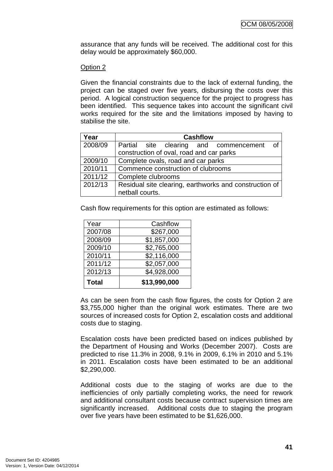assurance that any funds will be received. The additional cost for this delay would be approximately \$60,000.

### Option 2

Given the financial constraints due to the lack of external funding, the project can be staged over five years, disbursing the costs over this period. A logical construction sequence for the project to progress has been identified. This sequence takes into account the significant civil works required for the site and the limitations imposed by having to stabilise the site.

| Year    | <b>Cashflow</b>                                        |  |  |  |  |  |  |
|---------|--------------------------------------------------------|--|--|--|--|--|--|
| 2008/09 | <b>of</b><br>Partial site clearing and commencement    |  |  |  |  |  |  |
|         | construction of oval, road and car parks               |  |  |  |  |  |  |
| 2009/10 | Complete ovals, road and car parks                     |  |  |  |  |  |  |
| 2010/11 | Commence construction of clubrooms                     |  |  |  |  |  |  |
| 2011/12 | Complete clubrooms                                     |  |  |  |  |  |  |
| 2012/13 | Residual site clearing, earthworks and construction of |  |  |  |  |  |  |
|         | netball courts.                                        |  |  |  |  |  |  |

Cash flow requirements for this option are estimated as follows:

| Year         | Cashflow                |
|--------------|-------------------------|
| 2007/08      | \$267,000               |
| 2008/09      | $\overline{$1,857,000}$ |
| 2009/10      | $\overline{$2,765,000}$ |
| 2010/11      | \$2,116,000             |
| 2011/12      | \$2,057,000             |
| 2012/13      | \$4,928,000             |
| <b>Total</b> | \$13,990,000            |

As can be seen from the cash flow figures, the costs for Option 2 are \$3,755,000 higher than the original work estimates. There are two sources of increased costs for Option 2, escalation costs and additional costs due to staging.

Escalation costs have been predicted based on indices published by the Department of Housing and Works (December 2007). Costs are predicted to rise 11.3% in 2008, 9.1% in 2009, 6.1% in 2010 and 5.1% in 2011. Escalation costs have been estimated to be an additional \$2,290,000.

Additional costs due to the staging of works are due to the inefficiencies of only partially completing works, the need for rework and additional consultant costs because contract supervision times are significantly increased. Additional costs due to staging the program over five years have been estimated to be \$1,626,000.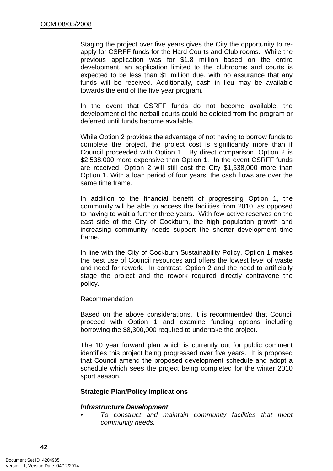Staging the project over five years gives the City the opportunity to reapply for CSRFF funds for the Hard Courts and Club rooms. While the previous application was for \$1.8 million based on the entire development, an application limited to the clubrooms and courts is expected to be less than \$1 million due, with no assurance that any funds will be received. Additionally, cash in lieu may be available towards the end of the five year program.

In the event that CSRFF funds do not become available, the development of the netball courts could be deleted from the program or deferred until funds become available.

While Option 2 provides the advantage of not having to borrow funds to complete the project, the project cost is significantly more than if Council proceeded with Option 1. By direct comparison, Option 2 is \$2,538,000 more expensive than Option 1. In the event CSRFF funds are received, Option 2 will still cost the City \$1,538,000 more than Option 1. With a loan period of four years, the cash flows are over the same time frame.

In addition to the financial benefit of progressing Option 1, the community will be able to access the facilities from 2010, as opposed to having to wait a further three years. With few active reserves on the east side of the City of Cockburn, the high population growth and increasing community needs support the shorter development time frame.

In line with the City of Cockburn Sustainability Policy, Option 1 makes the best use of Council resources and offers the lowest level of waste and need for rework. In contrast, Option 2 and the need to artificially stage the project and the rework required directly contravene the policy.

### Recommendation

Based on the above considerations, it is recommended that Council proceed with Option 1 and examine funding options including borrowing the \$8,300,000 required to undertake the project.

The 10 year forward plan which is currently out for public comment identifies this project being progressed over five years. It is proposed that Council amend the proposed development schedule and adopt a schedule which sees the project being completed for the winter 2010 sport season.

## **Strategic Plan/Policy Implications**

### *Infrastructure Development*

*• To construct and maintain community facilities that meet community needs.*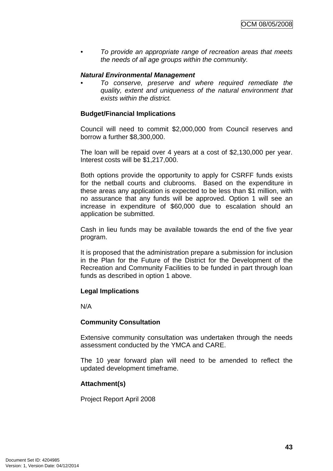*• To provide an appropriate range of recreation areas that meets the needs of all age groups within the community.* 

### *Natural Environmental Management*

*• To conserve, preserve and where required remediate the quality, extent and uniqueness of the natural environment that exists within the district.* 

### **Budget/Financial Implications**

Council will need to commit \$2,000,000 from Council reserves and borrow a further \$8,300,000.

The loan will be repaid over 4 years at a cost of \$2,130,000 per year. Interest costs will be \$1,217,000.

Both options provide the opportunity to apply for CSRFF funds exists for the netball courts and clubrooms. Based on the expenditure in these areas any application is expected to be less than \$1 million, with no assurance that any funds will be approved. Option 1 will see an increase in expenditure of \$60,000 due to escalation should an application be submitted.

Cash in lieu funds may be available towards the end of the five year program.

It is proposed that the administration prepare a submission for inclusion in the Plan for the Future of the District for the Development of the Recreation and Community Facilities to be funded in part through loan funds as described in option 1 above.

### **Legal Implications**

N/A

### **Community Consultation**

Extensive community consultation was undertaken through the needs assessment conducted by the YMCA and CARE.

The 10 year forward plan will need to be amended to reflect the updated development timeframe.

### **Attachment(s)**

Project Report April 2008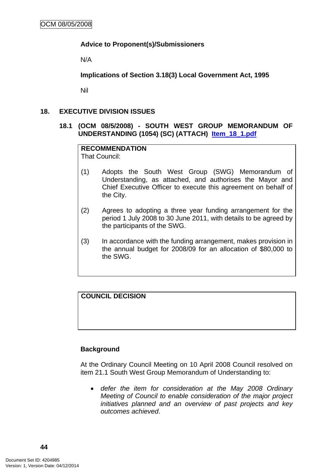### <span id="page-47-0"></span>**Advice to Proponent(s)/Submissioners**

N/A

**Implications of Section 3.18(3) Local Government Act, 1995**

Nil

### **18. EXECUTIVE DIVISION ISSUES**

### **18.1 (OCM 08/5/2008) - SOUTH WEST GROUP MEMORANDUM OF UNDERSTANDING (1054) (SC) (ATTACH) Item\_18\_1.pdf**

**RECOMMENDATION** That Council:

- (1) Adopts the South West Group (SWG) Memorandum of Understanding, as attached, and authorises the Mayor and Chief Executive Officer to execute this agreement on behalf of the City.
- (2) Agrees to adopting a three year funding arrangement for the period 1 July 2008 to 30 June 2011, with details to be agreed by the participants of the SWG.
- (3) In accordance with the funding arrangement, makes provision in the annual budget for 2008/09 for an allocation of \$80,000 to the SWG.

## **COUNCIL DECISION**

### **Background**

At the Ordinary Council Meeting on 10 April 2008 Council resolved on item 21.1 South West Group Memorandum of Understanding to:

• *defer the item for consideration at the May 2008 Ordinary Meeting of Council to enable consideration of the major project initiatives planned and an overview of past projects and key outcomes achieved*.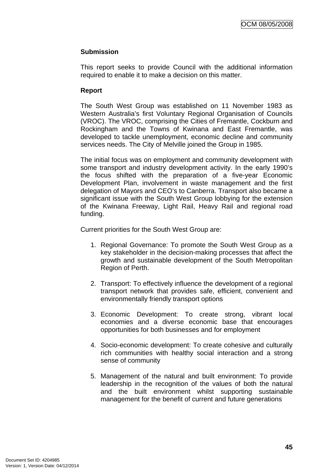#### **Submission**

This report seeks to provide Council with the additional information required to enable it to make a decision on this matter.

#### **Report**

The South West Group was established on 11 November 1983 as Western Australia's first Voluntary Regional Organisation of Councils (VROC). The VROC, comprising the Cities of Fremantle, Cockburn and Rockingham and the Towns of Kwinana and East Fremantle, was developed to tackle unemployment, economic decline and community services needs. The City of Melville joined the Group in 1985.

The initial focus was on employment and community development with some transport and industry development activity. In the early 1990's the focus shifted with the preparation of a five-year Economic Development Plan, involvement in waste management and the first delegation of Mayors and CEO's to Canberra. Transport also became a significant issue with the South West Group lobbying for the extension of the Kwinana Freeway, Light Rail, Heavy Rail and regional road funding.

Current priorities for the South West Group are:

- 1. Regional Governance: To promote the South West Group as a key stakeholder in the decision-making processes that affect the growth and sustainable development of the South Metropolitan Region of Perth.
- 2. Transport: To effectively influence the development of a regional transport network that provides safe, efficient, convenient and environmentally friendly transport options
- 3. Economic Development: To create strong, vibrant local economies and a diverse economic base that encourages opportunities for both businesses and for employment
- 4. Socio-economic development: To create cohesive and culturally rich communities with healthy social interaction and a strong sense of community
- 5. Management of the natural and built environment: To provide leadership in the recognition of the values of both the natural and the built environment whilst supporting sustainable management for the benefit of current and future generations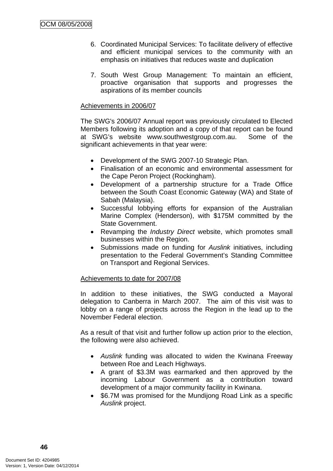- 6. Coordinated Municipal Services: To facilitate delivery of effective and efficient municipal services to the community with an emphasis on initiatives that reduces waste and duplication
- 7. South West Group Management: To maintain an efficient, proactive organisation that supports and progresses the aspirations of its member councils

#### Achievements in 2006/07

The SWG's 2006/07 Annual report was previously circulated to Elected Members following its adoption and a copy of that report can be found at SWG's website www.southwestgroup.com.au. Some of the significant achievements in that year were:

- Development of the SWG 2007-10 Strategic Plan.
- Finalisation of an economic and environmental assessment for the Cape Peron Project (Rockingham).
- Development of a partnership structure for a Trade Office between the South Coast Economic Gateway (WA) and State of Sabah (Malaysia).
- Successful lobbying efforts for expansion of the Australian Marine Complex (Henderson), with \$175M committed by the State Government.
- Revamping the *Industry Direct* website, which promotes small businesses within the Region.
- Submissions made on funding for *Auslink* initiatives, including presentation to the Federal Government's Standing Committee on Transport and Regional Services.

#### Achievements to date for 2007/08

In addition to these initiatives, the SWG conducted a Mayoral delegation to Canberra in March 2007. The aim of this visit was to lobby on a range of projects across the Region in the lead up to the November Federal election.

As a result of that visit and further follow up action prior to the election, the following were also achieved.

- *Auslink* funding was allocated to widen the Kwinana Freeway between Roe and Leach Highways.
- A grant of \$3.3M was earmarked and then approved by the incoming Labour Government as a contribution toward development of a major community facility in Kwinana.
- \$6.7M was promised for the Mundijong Road Link as a specific *Auslink* project.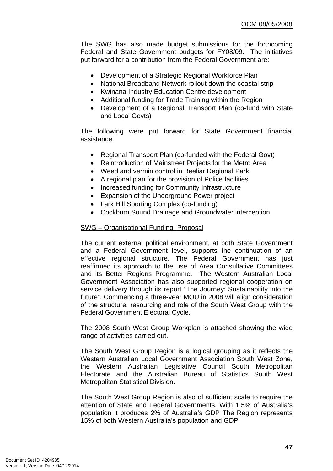The SWG has also made budget submissions for the forthcoming Federal and State Government budgets for FY08/09. The initiatives put forward for a contribution from the Federal Government are:

- Development of a Strategic Regional Workforce Plan
- National Broadband Network rollout down the coastal strip
- Kwinana Industry Education Centre development
- Additional funding for Trade Training within the Region
- Development of a Regional Transport Plan (co-fund with State and Local Govts)

The following were put forward for State Government financial assistance:

- Regional Transport Plan (co-funded with the Federal Govt)
- Reintroduction of Mainstreet Projects for the Metro Area
- Weed and vermin control in Beeliar Regional Park
- A regional plan for the provision of Police facilities
- Increased funding for Community Infrastructure
- Expansion of the Underground Power project
- Lark Hill Sporting Complex (co-funding)
- Cockburn Sound Drainage and Groundwater interception

### SWG – Organisational Funding Proposal

The current external political environment, at both State Government and a Federal Government level, supports the continuation of an effective regional structure. The Federal Government has just reaffirmed its approach to the use of Area Consultative Committees and its Better Regions Programme. The Western Australian Local Government Association has also supported regional cooperation on service delivery through its report "The Journey: Sustainability into the future". Commencing a three-year MOU in 2008 will align consideration of the structure, resourcing and role of the South West Group with the Federal Government Electoral Cycle.

The 2008 South West Group Workplan is attached showing the wide range of activities carried out.

The South West Group Region is a logical grouping as it reflects the Western Australian Local Government Association South West Zone, the Western Australian Legislative Council South Metropolitan Electorate and the Australian Bureau of Statistics South West Metropolitan Statistical Division.

The South West Group Region is also of sufficient scale to require the attention of State and Federal Governments. With 1.5% of Australia's population it produces 2% of Australia's GDP The Region represents 15% of both Western Australia's population and GDP.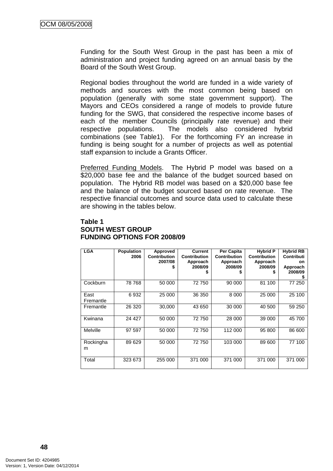Funding for the South West Group in the past has been a mix of administration and project funding agreed on an annual basis by the Board of the South West Group.

Regional bodies throughout the world are funded in a wide variety of methods and sources with the most common being based on population (generally with some state government support). The Mayors and CEOs considered a range of models to provide future funding for the SWG, that considered the respective income bases of each of the member Councils (principally rate revenue) and their respective populations. The models also considered hybrid combinations (see Table1). For the forthcoming FY an increase in funding is being sought for a number of projects as well as potential staff expansion to include a Grants Officer.

Preferred Funding Models. The Hybrid P model was based on a \$20,000 base fee and the balance of the budget sourced based on population. The Hybrid RB model was based on a \$20,000 base fee and the balance of the budget sourced based on rate revenue. The respective financial outcomes and source data used to calculate these are showing in the tables below.

### **Table 1 SOUTH WEST GROUP FUNDING OPTIONS FOR 2008/09**

| <b>LGA</b>        | <b>Population</b><br>2006 | Approved<br><b>Contribution</b><br>2007/08 | <b>Current</b><br><b>Contribution</b><br>Approach<br>2008/09 | Per Capita<br><b>Contribution</b><br>Approach<br>2008/09 | <b>Hybrid P</b><br><b>Contribution</b><br>Approach<br>2008/09 | <b>Hybrid RB</b><br><b>Contributi</b><br>on<br>Approach<br>2008/09 |
|-------------------|---------------------------|--------------------------------------------|--------------------------------------------------------------|----------------------------------------------------------|---------------------------------------------------------------|--------------------------------------------------------------------|
| Cockburn          | 78 768                    | 50 000                                     | 72750                                                        | 90 000                                                   | 81 100                                                        | 77 250                                                             |
| East<br>Fremantle | 6932                      | 25 000                                     | 36 350                                                       | 8 0 0 0                                                  | 25 000                                                        | 25 100                                                             |
| Fremantle         | 26 3 20                   | 30,000                                     | 43 650                                                       | 30 000                                                   | 40 500                                                        | 59 250                                                             |
| Kwinana           | 24 4 27                   | 50 000                                     | 72750                                                        | 28 000                                                   | 39 000                                                        | 45 700                                                             |
| Melville          | 97 597                    | 50 000                                     | 72750                                                        | 112 000                                                  | 95 800                                                        | 86 600                                                             |
| Rockingha<br>m    | 89 629                    | 50 000                                     | 72 750                                                       | 103 000                                                  | 89 600                                                        | 77 100                                                             |
| Total             | 323 673                   | 255 000                                    | 371 000                                                      | 371 000                                                  | 371 000                                                       | 371 000                                                            |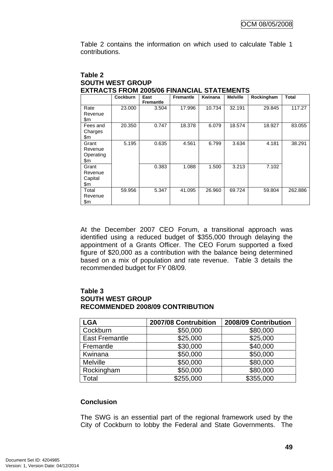Table 2 contains the information on which used to calculate Table 1 contributions.

|                                      | <b>Cockburn</b> | East<br><b>Fremantle</b> | <b>Fremantle</b> | Kwinana | <b>Melville</b> | Rockingham | Total   |
|--------------------------------------|-----------------|--------------------------|------------------|---------|-----------------|------------|---------|
| Rate<br>Revenue<br>\$m               | 23,000          | 3.504                    | 17.996           | 10.734  | 32.191          | 29.845     | 117.27  |
| Fees and<br>Charges<br>\$m           | 20.350          | 0.747                    | 18.378           | 6.079   | 18.574          | 18.927     | 83.055  |
| Grant<br>Revenue<br>Operating<br>\$m | 5.195           | 0.635                    | 4.561            | 6.799   | 3.634           | 4.181      | 38.291  |
| Grant<br>Revenue<br>Capital<br>\$m   |                 | 0.383                    | 1.088            | 1.500   | 3.213           | 7.102      |         |
| Total<br>Revenue<br>\$m              | 59.956          | 5.347                    | 41.095           | 26.960  | 69.724          | 59.804     | 262.886 |

**Table 2 SOUTH WEST GROUP** 

At the December 2007 CEO Forum, a transitional approach was identified using a reduced budget of \$355,000 through delaying the appointment of a Grants Officer. The CEO Forum supported a fixed figure of \$20,000 as a contribution with the balance being determined based on a mix of population and rate revenue. Table 3 details the recommended budget for FY 08/09.

#### **Table 3 SOUTH WEST GROUP RECOMMENDED 2008/09 CONTRIBUTION**

| <b>LGA</b>            | 2007/08 Contrubition | 2008/09 Contribution |
|-----------------------|----------------------|----------------------|
| Cockburn              | \$50,000             | \$80,000             |
| <b>East Fremantle</b> | \$25,000             | \$25,000             |
| Fremantle             | \$30,000             | \$40,000             |
| Kwinana               | \$50,000             | \$50,000             |
| <b>Melville</b>       | \$50,000             | \$80,000             |
| Rockingham            | \$50,000             | \$80,000             |
| Total                 | \$255,000            | \$355,000            |

### **Conclusion**

The SWG is an essential part of the regional framework used by the City of Cockburn to lobby the Federal and State Governments. The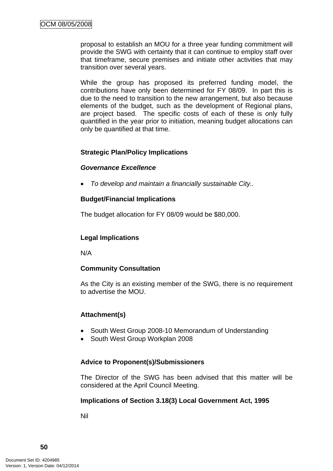proposal to establish an MOU for a three year funding commitment will provide the SWG with certainty that it can continue to employ staff over that timeframe, secure premises and initiate other activities that may transition over several years.

While the group has proposed its preferred funding model, the contributions have only been determined for FY 08/09. In part this is due to the need to transition to the new arrangement, but also because elements of the budget, such as the development of Regional plans, are project based. The specific costs of each of these is only fully quantified in the year prior to initiation, meaning budget allocations can only be quantified at that time.

### **Strategic Plan/Policy Implications**

#### *Governance Excellence*

• *To develop and maintain a financially sustainable City..* 

### **Budget/Financial Implications**

The budget allocation for FY 08/09 would be \$80,000.

### **Legal Implications**

N/A

## **Community Consultation**

As the City is an existing member of the SWG, there is no requirement to advertise the MOU.

### **Attachment(s)**

- South West Group 2008-10 Memorandum of Understanding
- South West Group Workplan 2008

## **Advice to Proponent(s)/Submissioners**

The Director of the SWG has been advised that this matter will be considered at the April Council Meeting.

### **Implications of Section 3.18(3) Local Government Act, 1995**

Nil